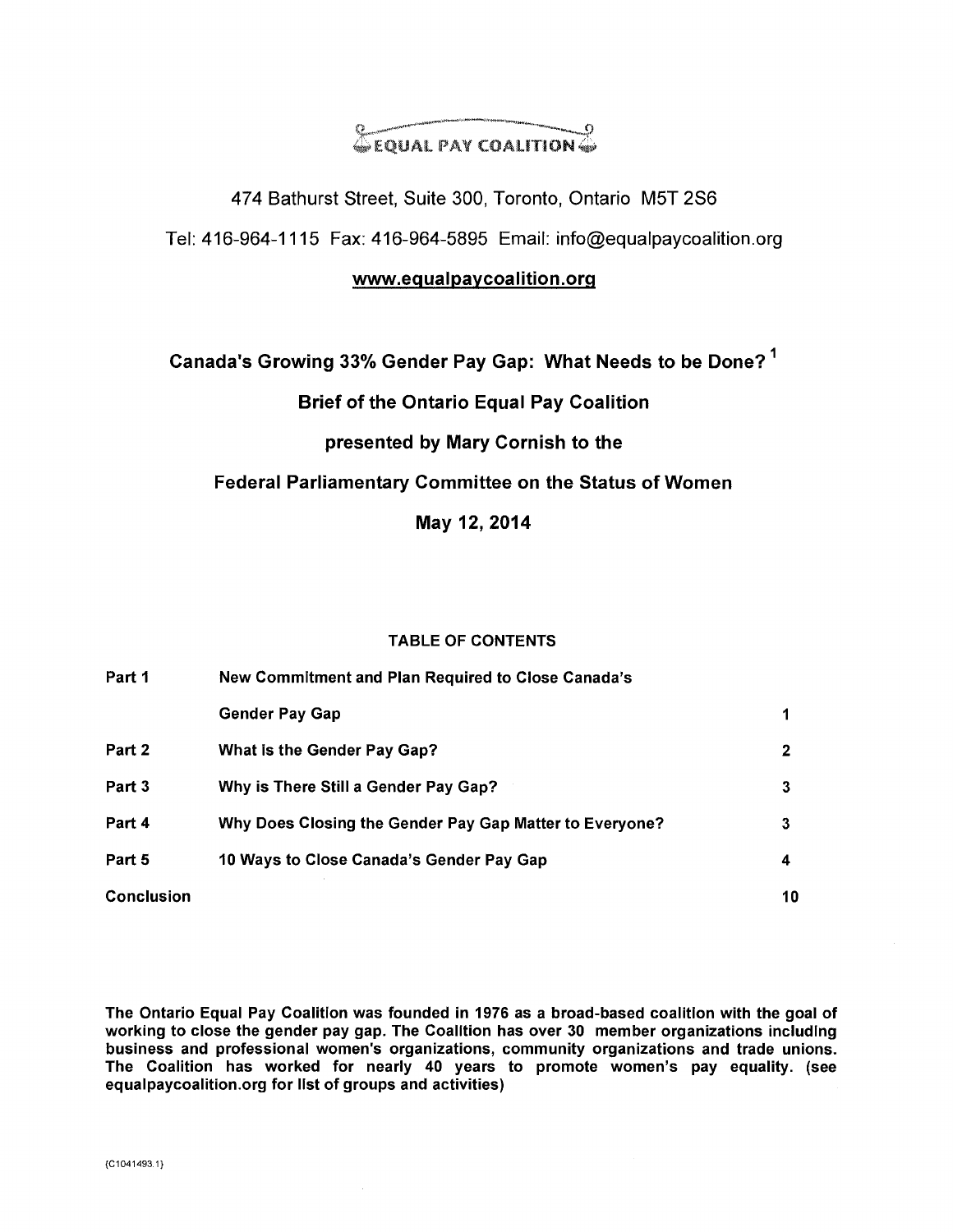# @EQUAL PAY COALITION @

474 Bathurst Street, Suite 300, Toronto, Ontario M5T 2S6 Tel: 416-964-1115 Fax: 416-964-5895 Email: info@equalpaycoalition.org

### www.equalpaycoalition.org

# **Canada's Growing 33% Gender Pay Gap: What Needs to be Done? I**

### **Brief of the Ontario Equal Pay Coalition**

# **presented by Mary Cornish to the**

### **Federal Parliamentary Committee on the Status of Women**

**May 12, 2014** 

#### **TABLE OF CONTENTS**

| Part 1            | New Commitment and Plan Required to Close Canada's      |    |  |  |  |  |  |  |  |  |
|-------------------|---------------------------------------------------------|----|--|--|--|--|--|--|--|--|
|                   | <b>Gender Pay Gap</b>                                   |    |  |  |  |  |  |  |  |  |
| Part 2            | What is the Gender Pay Gap?                             |    |  |  |  |  |  |  |  |  |
| Part 3            | Why is There Still a Gender Pay Gap?                    | з  |  |  |  |  |  |  |  |  |
| Part 4            | Why Does Closing the Gender Pay Gap Matter to Everyone? | 3  |  |  |  |  |  |  |  |  |
| Part 5            | 10 Ways to Close Canada's Gender Pay Gap                | 4  |  |  |  |  |  |  |  |  |
| <b>Conclusion</b> |                                                         | 10 |  |  |  |  |  |  |  |  |

**The Ontario Equal Pay Coalition was founded in 1976 as a broad-based coalition with the goal of working to close the gender pay gap. The Coalition has over 30 member organizations including business and professional women's organizations, community organizations and trade unions. The Coalition has worked for nearly 40 years to promote women's pay equality. (see equalpaycoalition.org for list of groups and activities)**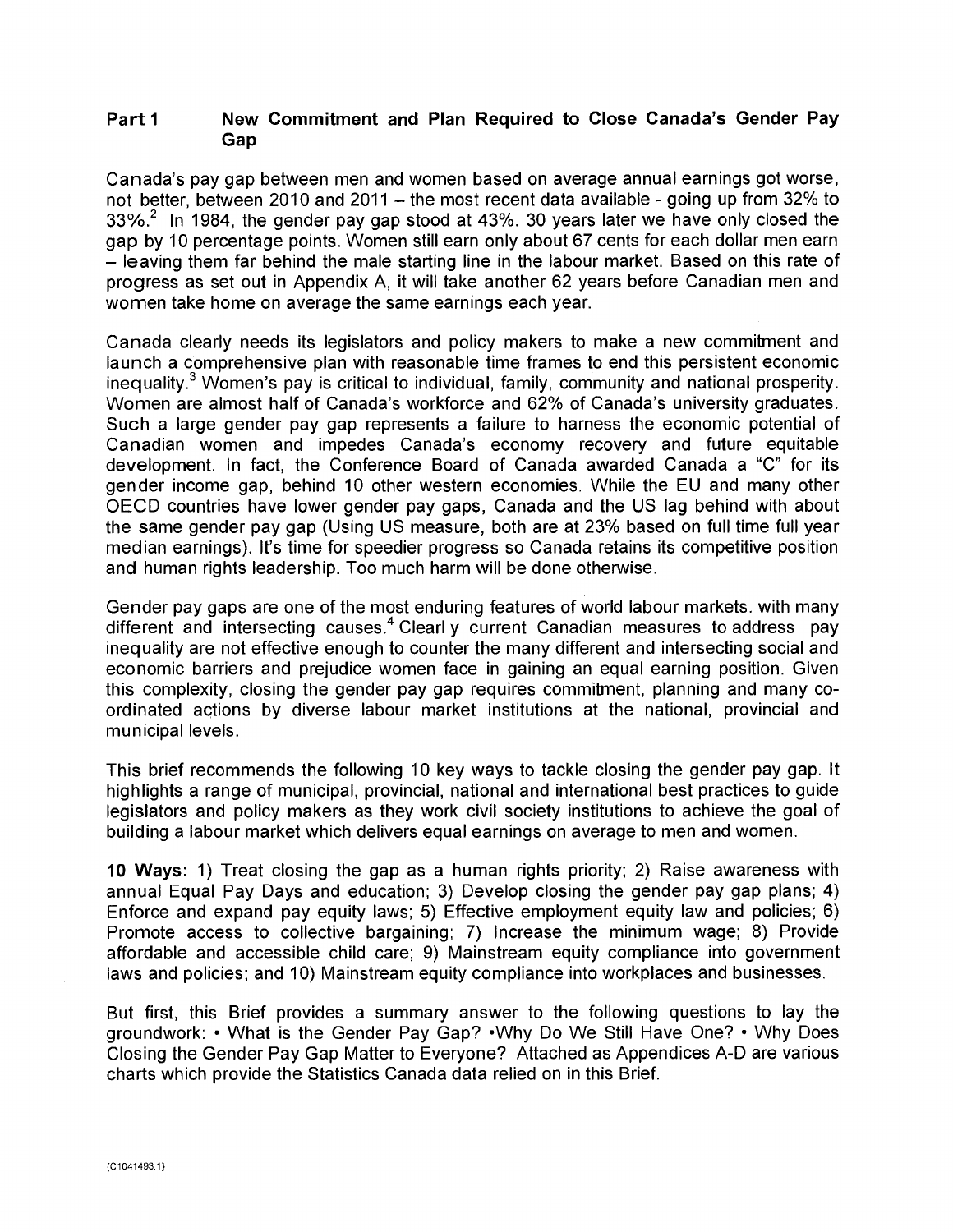### **Part 1 New Commitment and Plan Required to Close Canada's Gender Pay Gap**

Canada's pay gap between men and women based on average annual earnings got worse, not better, between 2010 and 2011 — the most recent data available - going up from 32% to  $33\%$ .<sup>2</sup> In 1984, the gender pay gap stood at 43%. 30 years later we have only closed the gap by 10 percentage points. Women still earn only about 67 cents for each dollar men earn — leaving them far behind the male starting line in the labour market. Based on this rate of progress as set out in Appendix A, it will take another 62 years before Canadian men and women take home on average the same earnings each year.

Canada clearly needs its legislators and policy makers to make a new commitment and launch a comprehensive plan with reasonable time frames to end this persistent economic inequality.<sup>3</sup> Women's pay is critical to individual, family, community and national prosperity. Women are almost half of Canada's workforce and 62% of Canada's university graduates. Such a large gender pay gap represents a failure to harness the economic potential of Canadian women and impedes Canada's economy recovery and future equitable development. In fact, the Conference Board of Canada awarded Canada a "C" for its gender income gap, behind 10 other western economies. While the EU and many other OECD countries have lower gender pay gaps, Canada and the US lag behind with about the same gender pay gap (Using US measure, both are at 23% based on full time full year median earnings). It's time for speedier progress so Canada retains its competitive position and human rights leadership. Too much harm will be done otherwise.

Gender pay gaps are one of the most enduring features of world labour markets. with many different and intersecting causes.<sup>4</sup> Clearl y current Canadian measures to address pay inequality are not effective enough to counter the many different and intersecting social and economic barriers and prejudice women face in gaining an equal earning position. Given this complexity, closing the gender pay gap requires commitment, planning and many coordinated actions by diverse labour market institutions at the national, provincial and municipal levels.

This brief recommends the following 10 key ways to tackle closing the gender pay gap. It highlights a range of municipal, provincial, national and international best practices to guide legislators and policy makers as they work civil society institutions to achieve the goal of building a labour market which delivers equal earnings on average to men and women.

**10 Ways:** 1) Treat closing the gap as a human rights priority; 2) Raise awareness with annual Equal Pay Days and education; 3) Develop closing the gender pay gap plans; 4) Enforce and expand pay equity laws; 5) Effective employment equity law and policies; 6) Promote access to collective bargaining; 7) Increase the minimum wage; 8) Provide affordable and accessible child care; 9) Mainstream equity compliance into government laws and policies; and 10) Mainstream equity compliance into workplaces and businesses.

But first, this Brief provides a summary answer to the following questions to lay the groundwork: • What is the Gender Pay Gap? •Why Do We Still Have One? • Why Does Closing the Gender Pay Gap Matter to Everyone? Attached as Appendices A-D are various charts which provide the Statistics Canada data relied on in this Brief.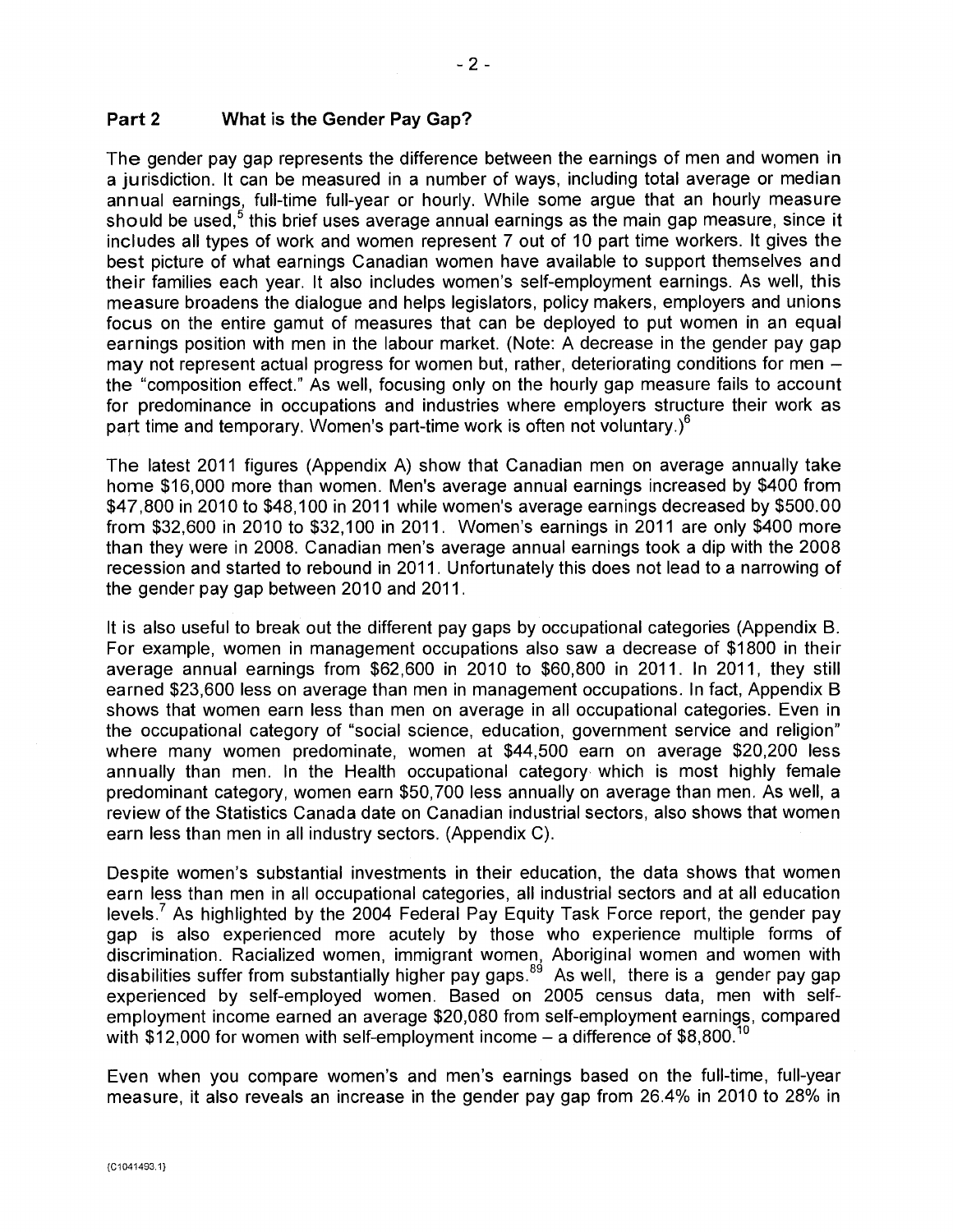The gender pay gap represents the difference between the earnings of men and women in a jurisdiction. It can be measured in a number of ways, including total average or median annual earnings, full-time full-year or hourly. While some argue that an hourly measure should be used, $<sup>5</sup>$  this brief uses average annual earnings as the main gap measure, since it</sup> includes all types of work and women represent 7 out of 10 part time workers. It gives the best picture of what earnings Canadian women have available to support themselves and their families each year. It also includes women's self-employment earnings. As well, this measure broadens the dialogue and helps legislators, policy makers, employers and unions focus on the entire gamut of measures that can be deployed to put women in an equal earnings position with men in the labour market. (Note: A decrease in the gender pay gap may not represent actual progress for women but, rather, deteriorating conditions for men the "composition effect." As well, focusing only on the hourly gap measure fails to account for predominance in occupations and industries where employers structure their work as part time and temporary. Women's part-time work is often not voluntary.) $^6$ 

The latest 2011 figures (Appendix A) show that Canadian men on average annually take home \$16,000 more than women. Men's average annual earnings increased by \$400 from \$47,800 in 2010 to \$48,100 in 2011 while women's average earnings decreased by \$500.00 from \$32,600 in 2010 to \$32,100 in 2011. Women's earnings in 2011 are only \$400 more than they were in 2008. Canadian men's average annual earnings took a dip with the 2008 recession and started to rebound in 2011. Unfortunately this does not lead to a narrowing of the gender pay gap between 2010 and 2011.

It is also useful to break out the different pay gaps by occupational categories (Appendix B. For example, women in management occupations also saw a decrease of \$1800 in their average annual earnings from \$62,600 in 2010 to \$60,800 in 2011. In 2011, they still earned \$23,600 less on average than men in management occupations. In fact, Appendix B shows that women earn less than men on average in all occupational categories. Even in the occupational category of "social science, education, government service and religion" where many women predominate, women at \$44,500 earn on average \$20,200 less annually than men. In the Health occupational category which is most highly female predominant category, women earn \$50,700 less annually on average than men. As well, a review of the Statistics Canada date on Canadian industrial sectors, also shows that women earn less than men in all industry sectors. (Appendix C).

Despite women's substantial investments in their education, the data shows that women earn less than men in all occupational categories, all industrial sectors and at all education levels.<sup>7</sup> As highlighted by the 2004 Federal Pay Equity Task Force report, the gender pay gap is also experienced more acutely by those who experience multiple forms of discrimination. Racialized women, immigrant women, Aboriginal women and women with disabilities suffer from substantially higher pay gaps. $89$  As well, there is a gender pay gap experienced by self-employed women. Based on 2005 census data, men with selfemployment income earned an average \$20,080 from self-employment earnings, compared with  $$12,000$  for women with self-employment income – a difference of  $$8,800$ .

Even when you compare women's and men's earnings based on the full-time, full-year measure, it also reveals an increase in the gender pay gap from 26.4% in 2010 to 28% in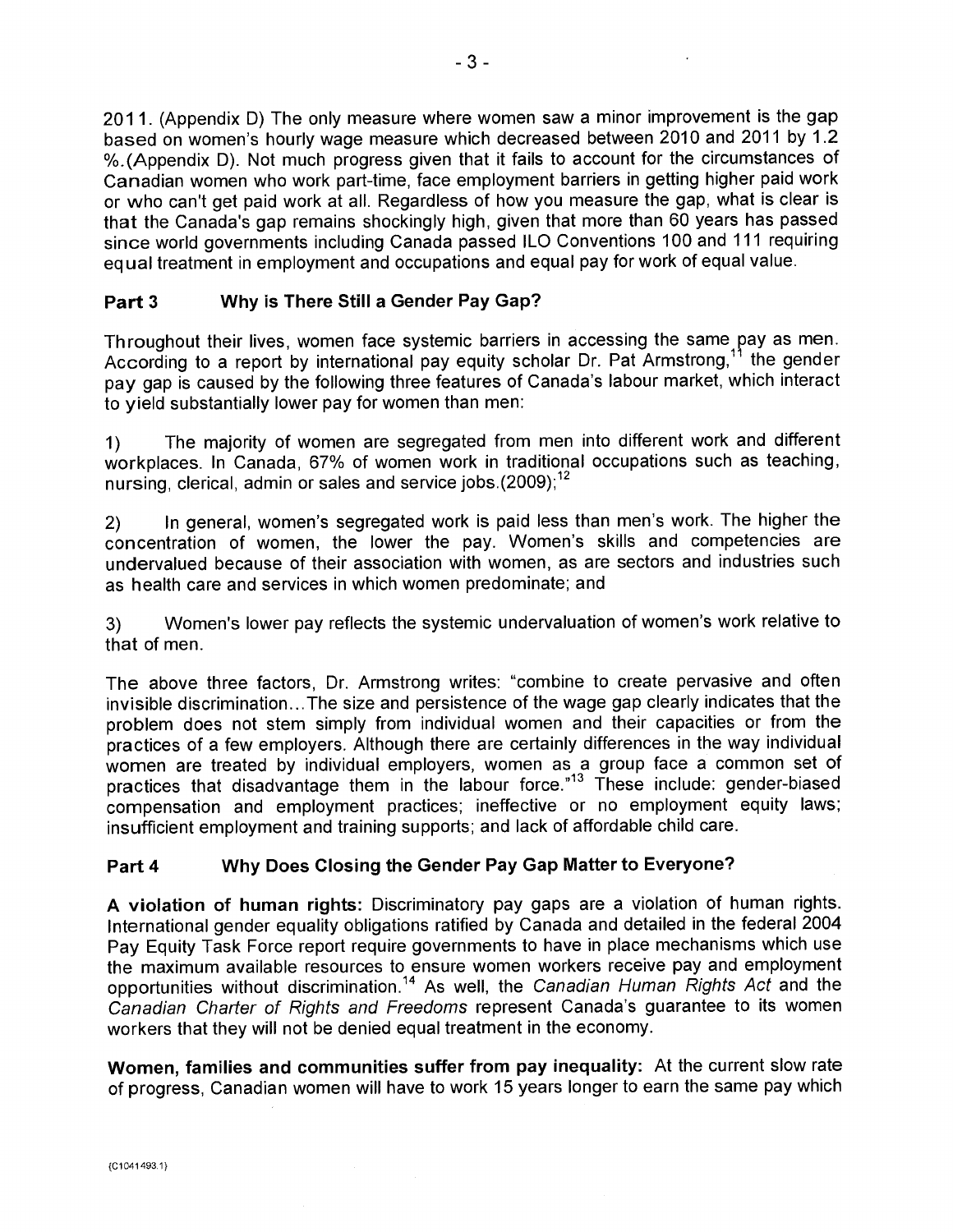2011. (Appendix D) The only measure where women saw a minor improvement is the gap based on women's hourly wage measure which decreased between 2010 and 2011 by 1.2 %.(Appendix D). Not much progress given that it fails to account for the circumstances of Canadian women who work part-time, face employment barriers in getting higher paid work or who can't get paid work at all. Regardless of how you measure the gap, what is clear is that the Canada's gap remains shockingly high, given that more than 60 years has passed since world governments including Canada passed ILO Conventions 100 and 111 requiring equal treatment in employment and occupations and equal pay for work of equal value.

# **Part 3 Why is There Still a Gender Pay Gap?**

Throughout their lives, women face systemic barriers in accessing the same pay as men. According to a report by international pay equity scholar Dr. Pat Armstrong,<sup>11</sup> the gender pay gap is caused by the following three features of Canada's labour market, which interact to yield substantially lower pay for women than men:

1) The majority of women are segregated from men into different work and different workplaces. In Canada, 67% of women work in traditional occupations such as teaching, nursing, clerical, admin or sales and service jobs.(2009);<sup>12</sup>

2) In general, women's segregated work is paid less than men's work. The higher the concentration of women, the lower the pay. Women's skills and competencies are undervalued because of their association with women, as are sectors and industries such as health care and services in which women predominate; and

3) Women's lower pay reflects the systemic undervaluation of women's work relative to that of men.

The above three factors, Dr. Armstrong writes: "combine to create pervasive and often invisible discrimination...The size and persistence of the wage gap clearly indicates that the problem does not stem simply from individual women and their capacities or from the practices of a few employers. Although there are certainly differences in the way individual women are treated by individual employers, women as a group face a common set of practices that disadvantage them in the labour force."<sup>13</sup> These include: gender-biased compensation and employment practices; ineffective or no employment equity laws; insufficient employment and training supports; and lack of affordable child care.

# **Part 4 Why Does Closing the Gender Pay Gap Matter to Everyone?**

**A violation of human rights:** Discriminatory pay gaps are a violation of human rights. International gender equality obligations ratified by Canada and detailed in the federal 2004 Pay Equity Task Force report require governments to have in place mechanisms which use the maximum available resources to ensure women workers receive pay and employment opportunities without discrimination.<sup>14</sup> As well, the Canadian Human Rights Act and the Canadian Charter of Rights and Freedoms represent Canada's guarantee to its women workers that they will not be denied equal treatment in the economy.

**Women, families and communities suffer from pay inequality:** At the current slow rate of progress, Canadian women will have to work 15 years longer to earn the same pay which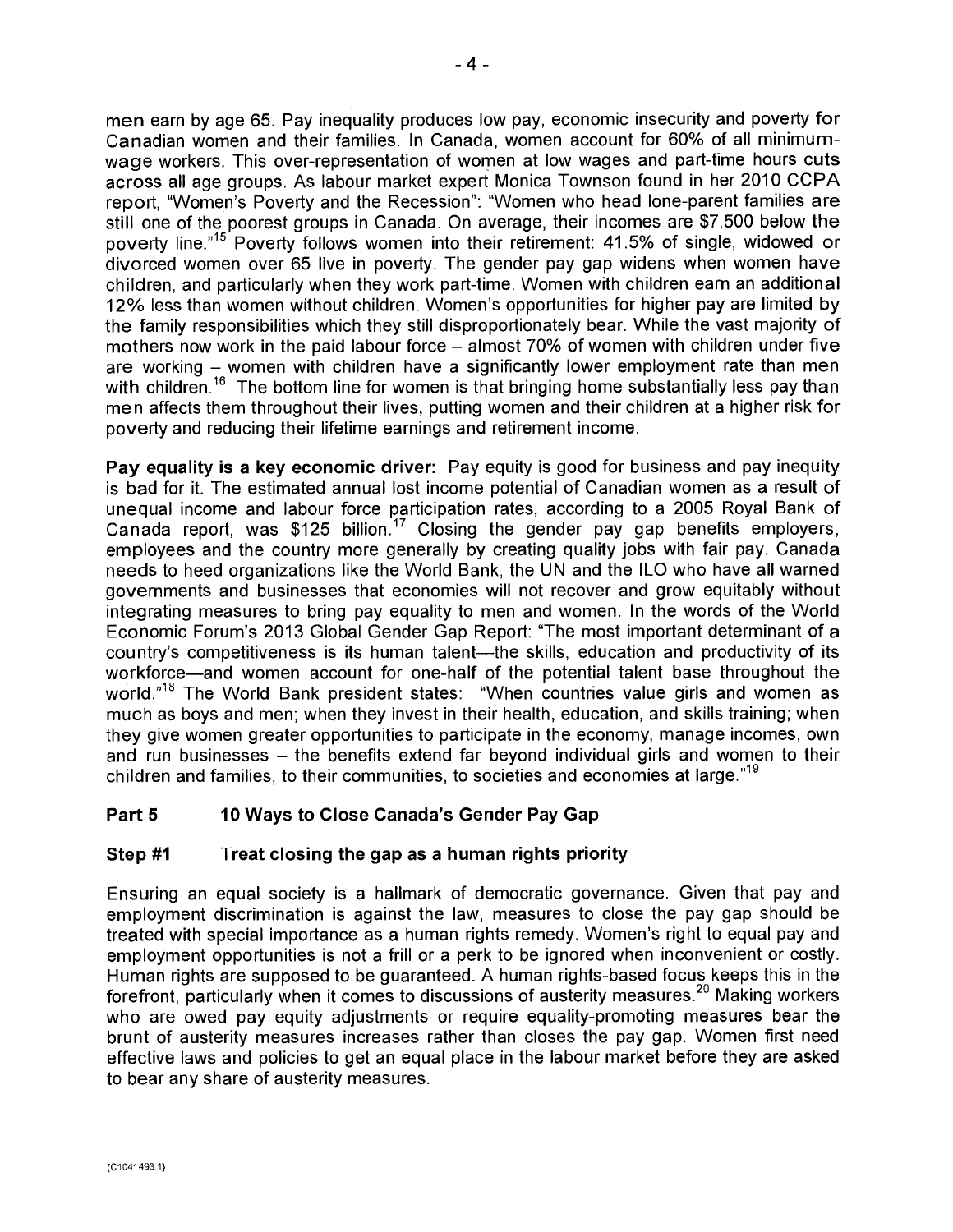**men** earn by age 65. Pay inequality produces low pay, economic insecurity and poverty for Canadian women and their families. In Canada, women account for 60% of all minimumwage workers. This over-representation of women at low wages and part-time hours cuts across all age groups. As labour market expert Monica Townson found in her 2010 CCPA report, "Women's Poverty and the Recession": "Women who head lone-parent families are still one of the poorest groups in Canada. On average, their incomes are \$7,500 below the poverty line."<sup>15</sup> Poverty follows women into their retirement: 41.5% of single, widowed or divorced women over 65 live in poverty. The gender pay gap widens when women have children, and particularly when they work part-time. Women with children earn an additional 12% less than women without children. Women's opportunities for higher pay are limited by the family responsibilities which they still disproportionately bear. While the vast majority of mothers now work in the paid labour force – almost 70% of women with children under five are working – women with children have a significantly lower employment rate than men with children.<sup>16</sup> The bottom line for women is that bringing home substantially less pay than men affects them throughout their lives, putting women and their children at a higher risk for poverty and reducing their lifetime earnings and retirement income.

**Pay equality is a key economic driver:** Pay equity is good for business and pay inequity is bad for it. The estimated annual lost income potential of Canadian women as a result of unequal income and labour force participation rates, according to a 2005 Royal Bank of Canada report, was \$125 billion.<sup>17</sup> Closing the gender pay gap benefits employers, employees and the country more generally by creating quality jobs with fair pay. Canada needs to heed organizations like the World Bank, the UN and the ILO who have all warned governments and businesses that economies will not recover and grow equitably without integrating measures to bring pay equality to men and women. In the words of the World Economic Forum's 2013 Global Gender Gap Report: "The most important determinant of a country's competitiveness is its human talent—the skills, education and productivity of its workforce—and women account for one-half of the potential talent base throughout the world."<sup>18</sup> The World Bank president states: "When countries value girls and women as much as boys and men; when they invest in their health, education, and skills training; when they give women greater opportunities to participate in the economy, manage incomes, own and run businesses – the benefits extend far beyond individual girls and women to their children and families, to their communities, to societies and economies at large."<sup>19</sup>

# **Part 5 10 Ways to Close Canada's Gender Pay Gap**

# **Step #1 Treat closing the gap as a human rights priority**

Ensuring an equal society is a hallmark of democratic governance. Given that pay and employment discrimination is against the law, measures to close the pay gap should be treated with special importance as a human rights remedy. Women's right to equal pay and employment opportunities is not a frill or a perk to be ignored when inconvenient or costly. Human rights are supposed to be guaranteed. A human rights-based focus keeps this in the forefront, particularly when it comes to discussions of austerity measures.<sup>20</sup> Making workers who are owed pay equity adjustments or require equality-promoting measures bear the brunt of austerity measures increases rather than closes the pay gap. Women first need effective laws and policies to get an equal place in the labour market before they are asked to bear any share of austerity measures.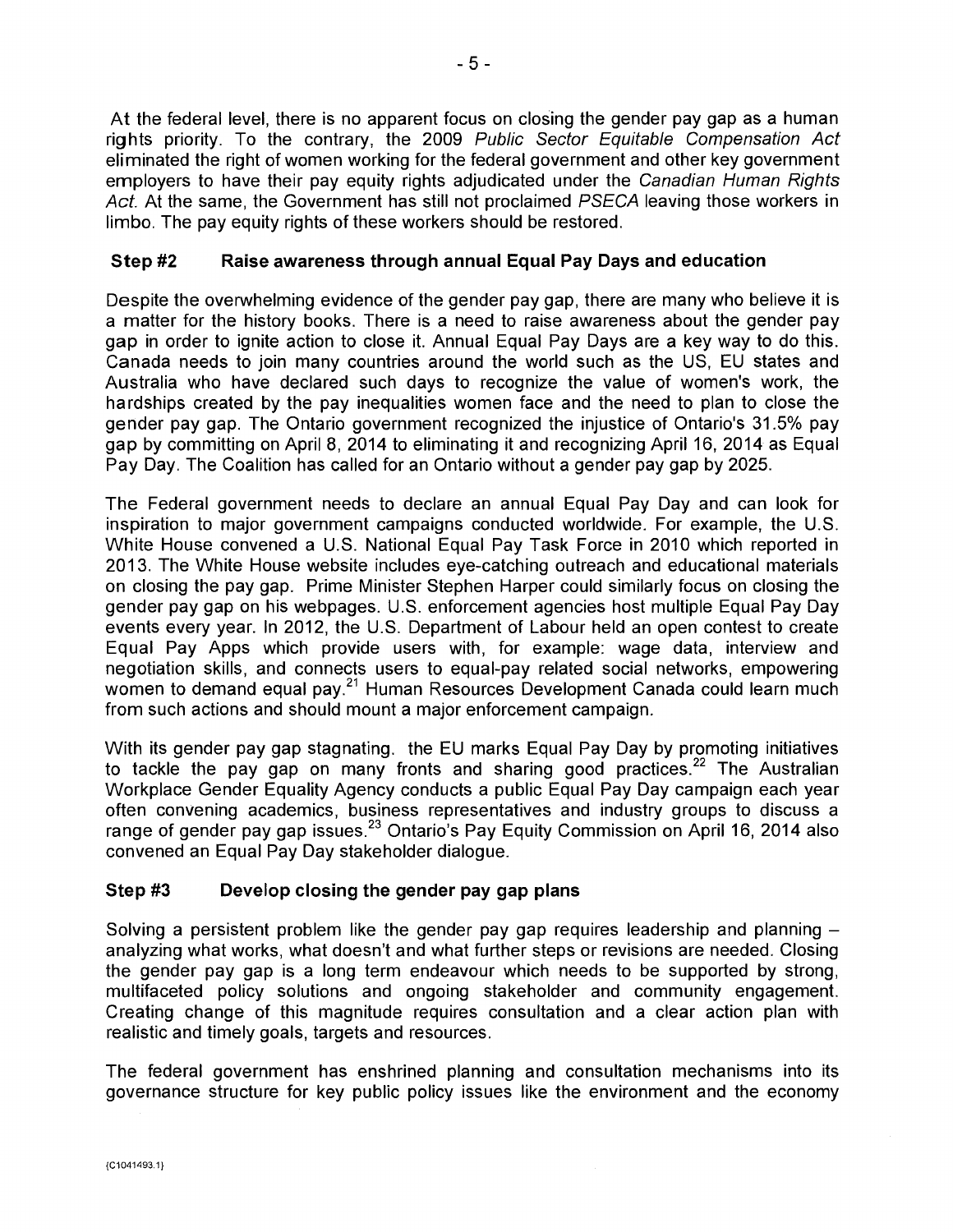At the federal level, there is no apparent focus on closing the gender pay gap as a human rights priority. To the contrary, the 2009 Public Sector Equitable Compensation Act eliminated the right of women working for the federal government and other key government employers to have their pay equity rights adjudicated under the Canadian Human Rights Act. At the same, the Government has still not proclaimed PSECA leaving those workers in limbo. The pay equity rights of these workers should be restored.

# **Step #2 Raise awareness through annual Equal Pay Days and education**

Despite the overwhelming evidence of the gender pay gap, there are many who believe it is a matter for the history books. There is a need to raise awareness about the gender pay gap in order to ignite action to close it. Annual Equal Pay Days are a key way to do this. Canada needs to join many countries around the world such as the US, EU states and Australia who have declared such days to recognize the value of women's work, the hardships created by the pay inequalities women face and the need to plan to close the gender pay gap. The Ontario government recognized the injustice of Ontario's 31.5% pay gap by committing on April 8, 2014 to eliminating it and recognizing April 16, 2014 as Equal Pay Day. The Coalition has called for an Ontario without a gender pay gap by 2025.

The Federal government needs to declare an annual Equal Pay Day and can look for inspiration to major government campaigns conducted worldwide. For example, the U.S. White House convened a U.S. National Equal Pay Task Force in 2010 which reported in 2013. The White House website includes eye-catching outreach and educational materials on closing the pay gap. Prime Minister Stephen Harper could similarly focus on closing the gender pay gap on his webpages. U.S. enforcement agencies host multiple Equal Pay Day events every year. In 2012, the U.S. Department of Labour held an open contest to create Equal Pay Apps which provide users with, for example: wage data, interview and negotiation skills, and connects users to equal-pay related social networks, empowering women to demand equal pay.<sup>21</sup> Human Resources Development Canada could learn much from such actions and should mount a major enforcement campaign.

With its gender pay gap stagnating. the EU marks Equal Pay Day by promoting initiatives to tackle the pay gap on many fronts and sharing good practices.<sup>22</sup> The Australian Workplace Gender Equality Agency conducts a public Equal Pay Day campaign each year often convening academics, business representatives and industry groups to discuss a range of gender pay gap issues.<sup>23</sup> Ontario's Pay Equity Commission on April 16, 2014 also convened an Equal Pay Day stakeholder dialogue.

### **Step #3 Develop closing the gender pay gap plans**

Solving a persistent problem like the gender pay gap requires leadership and planning analyzing what works, what doesn't and what further steps or revisions are needed. Closing the gender pay gap is a long term endeavour which needs to be supported by strong, multifaceted policy solutions and ongoing stakeholder and community engagement. Creating change of this magnitude requires consultation and a clear action plan with realistic and timely goals, targets and resources.

The federal government has enshrined planning and consultation mechanisms into its governance structure for key public policy issues like the environment and the economy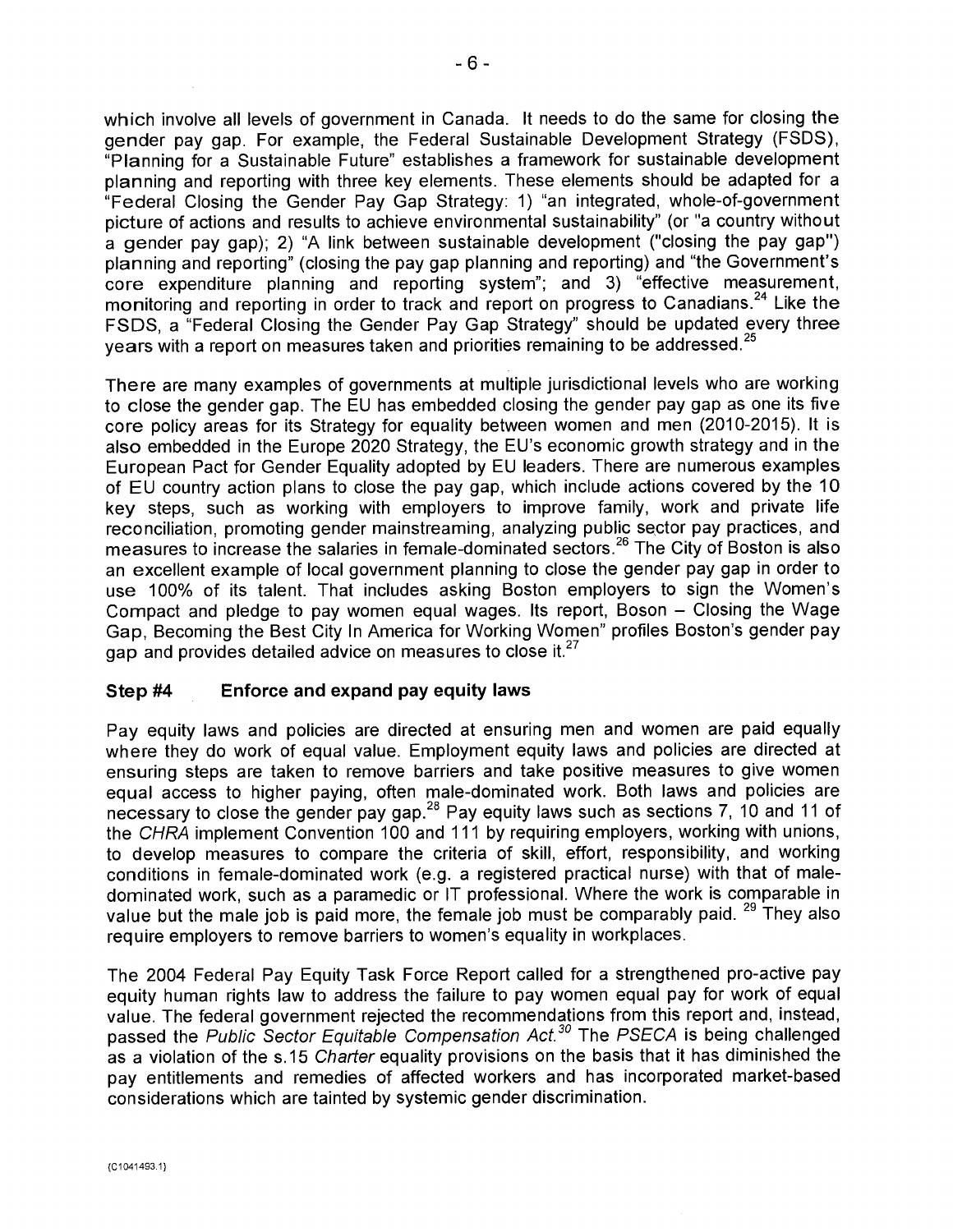which involve all levels of government in Canada. It needs to do the same for closing the gender pay gap. For example, the Federal Sustainable Development Strategy (FSDS), "Planning for a Sustainable Future" establishes a framework for sustainable development planning and reporting with three key elements. These elements should be adapted for a "Federal Closing the Gender Pay Gap Strategy: 1) "an integrated, whole-of-government picture of actions and results to achieve environmental sustainability" (or "a country without a gender pay gap); 2) "A link between sustainable development ("closing the pay gap") planning and reporting" (closing the pay gap planning and reporting) and "the Government's core expenditure planning and reporting system"; and 3) "effective measurement, monitoring and reporting in order to track and report on progress to Canadians.<sup>24</sup> Like the FSDS, a "Federal Closing the Gender Pay Gap Strategy" should be updated every three years with a report on measures taken and priorities remaining to be addressed.<sup>25</sup>

There are many examples of governments at multiple jurisdictional levels who are working to close the gender gap. The EU has embedded closing the gender pay gap as one its five core policy areas for its Strategy for equality between women and men (2010-2015). It is also embedded in the Europe 2020 Strategy, the EU's economic growth strategy and in the European Pact for Gender Equality adopted by EU leaders. There are numerous examples of EU country action plans to close the pay gap, which include actions covered by the 10 key steps, such as working with employers to improve family, work and private life reconciliation, promoting gender mainstreaming, analyzing public sector pay practices, and measures to increase the salaries in female-dominated sectors.<sup>26</sup> The City of Boston is also an excellent example of local government planning to close the gender pay gap in order to use 100% of its talent. That includes asking Boston employers to sign the Women's Compact and pledge to pay women equal wages. Its report, Boson — Closing the Wage Gap, Becoming the Best City In America for Working Women" profiles Boston's gender pay gap and provides detailed advice on measures to close it. $27$ 

### **Step #4 Enforce and expand pay equity laws**

Pay equity laws and policies are directed at ensuring men and women are paid equally where they do work of equal value. Employment equity laws and policies are directed at ensuring steps are taken to remove barriers and take positive measures to give women equal access to higher paying, often male-dominated work. Both laws and policies are necessary to close the gender pay gap.<sup>28</sup> Pay equity laws such as sections 7, 10 and 11 of the CHRA implement Convention 100 and 111 by requiring employers, working with unions, to develop measures to compare the criteria of skill, effort, responsibility, and working conditions in female-dominated work (e.g. a registered practical nurse) with that of maledominated work, such as a paramedic or IT professional. Where the work is comparable in value but the male job is paid more, the female job must be comparably paid. <sup>29</sup> They also require employers to remove barriers to women's equality in workplaces.

The 2004 Federal Pay Equity Task Force Report called for a strengthened pro-active pay equity human rights law to address the failure to pay women equal pay for work of equal value. The federal government rejected the recommendations from this report and, instead, passed the Public Sector Equitable Compensation Act.<sup>30</sup> The PSECA is being challenged as a violation of the s.15 Charter equality provisions on the basis that it has diminished the pay entitlements and remedies of affected workers and has incorporated market-based considerations which are tainted by systemic gender discrimination.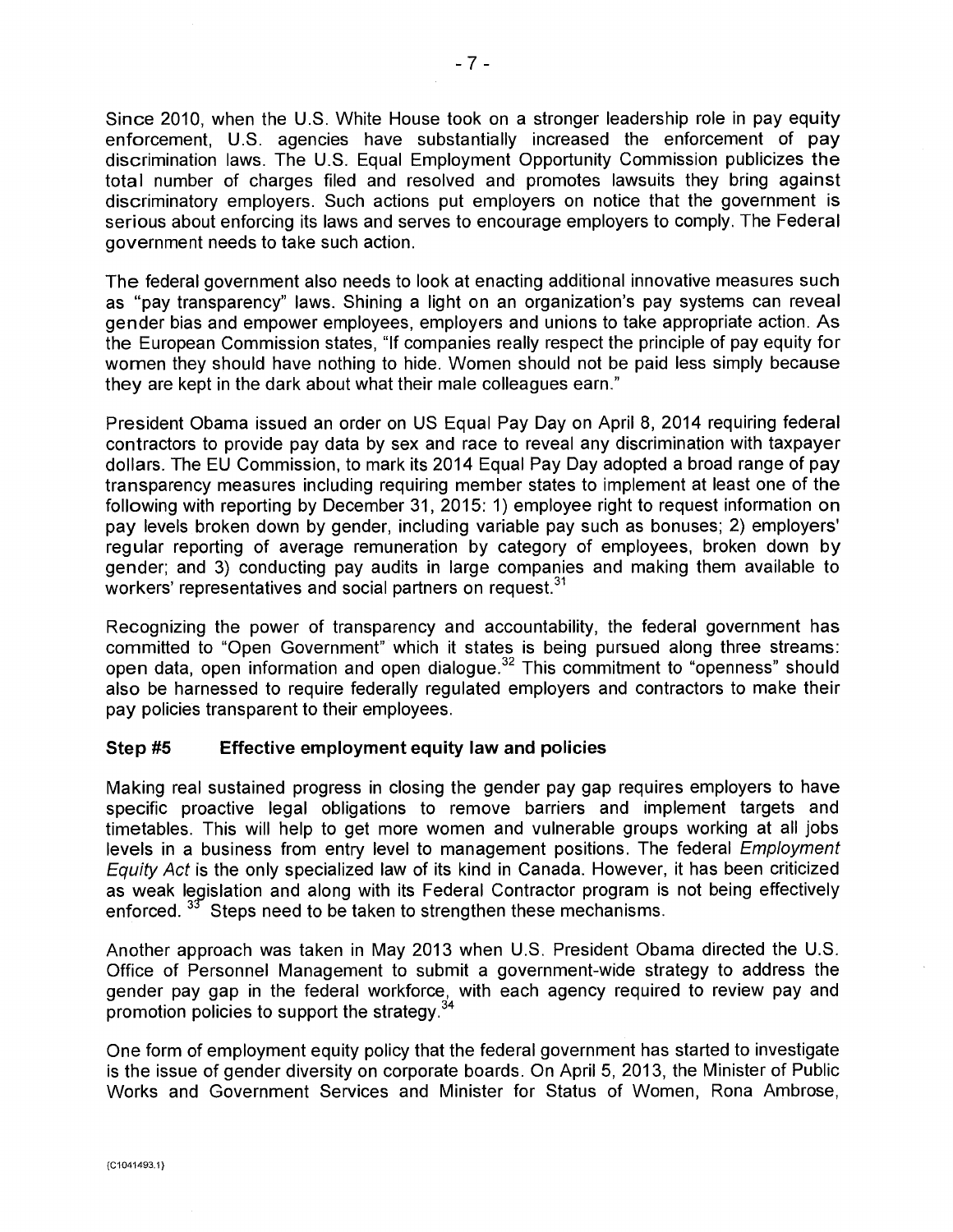Since 2010, when the U.S. White House took on a stronger leadership role in pay equity enforcement, U.S. agencies have substantially increased the enforcement of pay discrimination laws. The U.S. Equal Employment Opportunity Commission publicizes the total number of charges filed and resolved and promotes lawsuits they bring against discriminatory employers. Such actions put employers on notice that the government is serious about enforcing its laws and serves to encourage employers to comply. The Federal government needs to take such action.

The federal government also needs to look at enacting additional innovative measures such as "pay transparency" laws. Shining a light on an organization's pay systems can reveal gender bias and empower employees, employers and unions to take appropriate action. As the European Commission states, "If companies really respect the principle of pay equity for women they should have nothing to hide. Women should not be paid less simply because they are kept in the dark about what their male colleagues earn."

President Obama issued an order on US Equal Pay Day on April 8, 2014 requiring federal contractors to provide pay data by sex and race to reveal any discrimination with taxpayer dollars. The EU Commission, to mark its 2014 Equal Pay Day adopted a broad range of pay transparency measures including requiring member states to implement at least one of the following with reporting by December 31, 2015: 1) employee right to request information on pay levels broken down by gender, including variable pay such as bonuses; 2) employers' regular reporting of average remuneration by category of employees, broken down by gender; and 3) conducting pay audits in large companies and making them available to workers' representatives and social partners on request.<sup>31</sup>

Recognizing the power of transparency and accountability, the federal government has committed to "Open Government" which it states is being pursued along three streams: open data, open information and open dialogue.<sup>32</sup> This commitment to "openness" should also be harnessed to require federally regulated employers and contractors to make their pay policies transparent to their employees.

#### **Step #5 Effective employment equity law and policies**

Making real sustained progress in closing the gender pay gap requires employers to have specific proactive legal obligations to remove barriers and implement targets and timetables. This will help to get more women and vulnerable groups working at all jobs levels in a business from entry level to management positions. The federal *Employment* Equity Act is the only specialized law of its kind in Canada. However, it has been criticized as weak legislation and along with its Federal Contractor program is not being effectively enforced.  $33$  Steps need to be taken to strengthen these mechanisms.

Another approach was taken in May 2013 when U.S. President Obama directed the U.S. Office of Personnel Management to submit a government-wide strategy to address the gender pay gap in the federal workforce, with each agency required to review pay and promotion policies to support the strategy. $34$ 

One form of employment equity policy that the federal government has started to investigate is the issue of gender diversity on corporate boards. On April 5, 2013, the Minister of Public Works and Government Services and Minister for Status of Women, Rona Ambrose,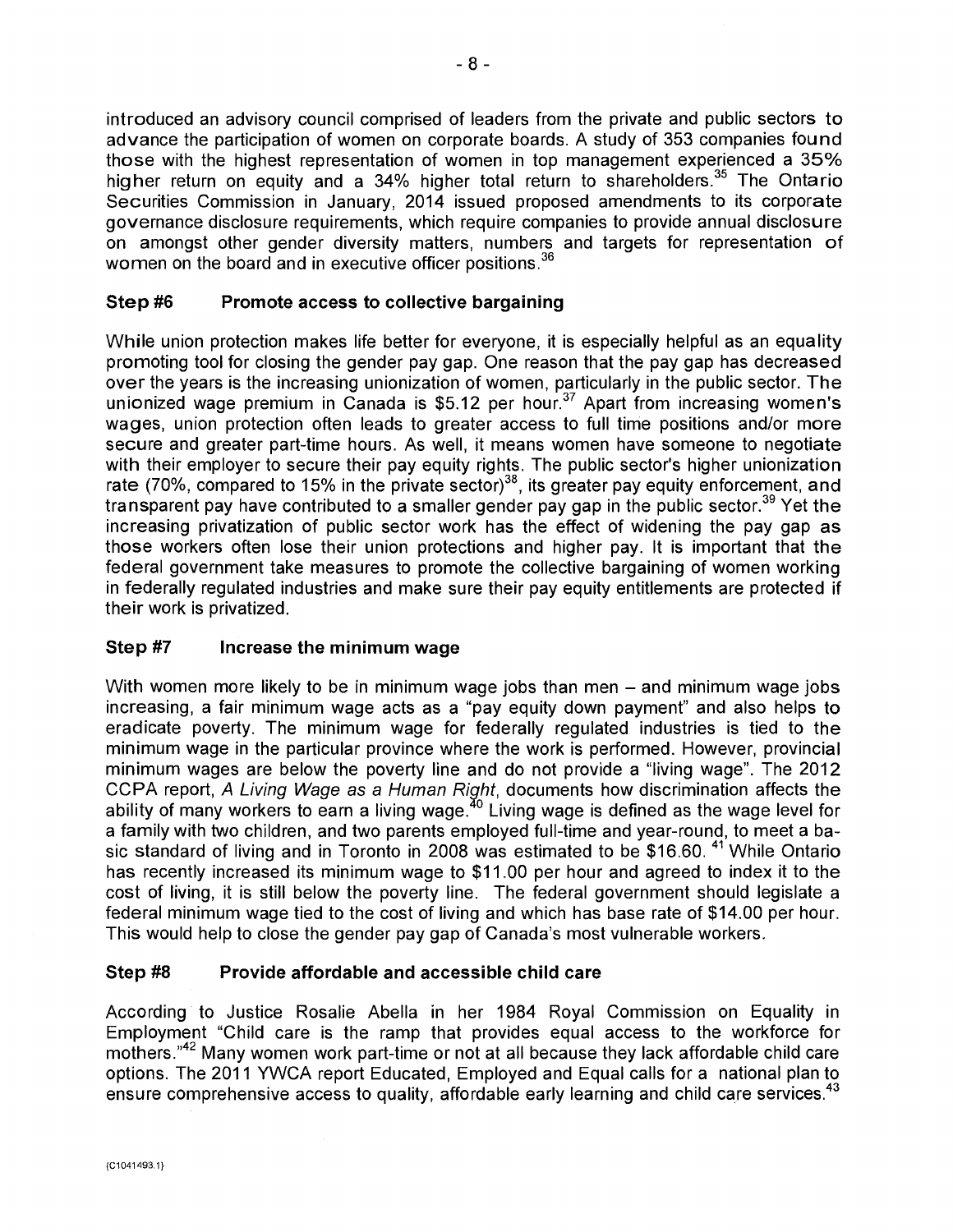introduced an advisory council comprised of leaders from the private and public sectors to advance the participation of women on corporate boards. A study of 353 companies found those with the highest representation of women in top management experienced a 35% higher return on equity and a 34% higher total return to shareholders.<sup>35</sup> The Ontario Securities Commission in January, 2014 issued proposed amendments to its corporate governance disclosure requirements, which require companies to provide annual disclosure on amongst other gender diversity matters, numbers and targets for representation of women on the board and in executive officer positions.<sup>36</sup>

### **Step #6 Promote access to collective bargaining**

While union protection makes life better for everyone, it is especially helpful as an equality promoting tool for closing the gender pay gap. One reason that the pay gap has decreased over the years is the increasing unionization of women, particularly in the public sector. The unionized wage premium in Canada is  $$5.12$  per hour.<sup>37</sup> Apart from increasing women's wages, union protection often leads to greater access to full time positions and/or more secure and greater part-time hours. As well, it means women have someone to negotiate with their employer to secure their pay equity rights. The public sector's higher unionization rate (70%, compared to 15% in the private sector)<sup>38</sup>, its greater pay equity enforcement, and transparent pay have contributed to a smaller gender pay gap in the public sector.<sup>39</sup> Yet the increasing privatization of public sector work has the effect of widening the pay gap as those workers often lose their union protections and higher pay. It is important that the federal government take measures to promote the collective bargaining of women working in federally regulated industries and make sure their pay equity entitlements are protected if their work is privatized.

### **Step #7 Increase the minimum wage**

With women more likely to be in minimum wage jobs than men — and minimum wage jobs increasing, a fair minimum wage acts as a "pay equity down payment" and also helps to eradicate poverty. The minimum wage for federally regulated industries is tied to the minimum wage in the particular province where the work is performed. However, provincial minimum wages are below the poverty line and do not provide a "living wage". The 2012 CCPA report, A Living Wage as a Human Right, documents how discrimination affects the ability of many workers to earn a living wage.  $40$  Living wage is defined as the wage level for a family with two children, and two parents employed full-time and year-round, to meet a basic standard of living and in Toronto in 2008 was estimated to be \$16.60.<sup>41</sup> While Ontario has recently increased its minimum wage to \$11.00 per hour and agreed to index it to the cost of living, it is still below the poverty line. The federal government should legislate a federal minimum wage tied to the cost of living and which has base rate of \$14.00 per hour. This would help to close the gender pay gap of Canada's most vulnerable workers.

### **Step #8 Provide affordable and accessible child care**

According to Justice Rosalie Abella in her 1984 Royal Commission on Equality in Employment "Child care is the ramp that provides equal access to the workforce for mothers."<sup>42</sup> Many women work part-time or not at all because they lack affordable child care options. The 2011 YWCA report Educated, Employed and Equal calls for a national plan to ensure comprehensive access to quality, affordable early learning and child care services.<sup>43</sup>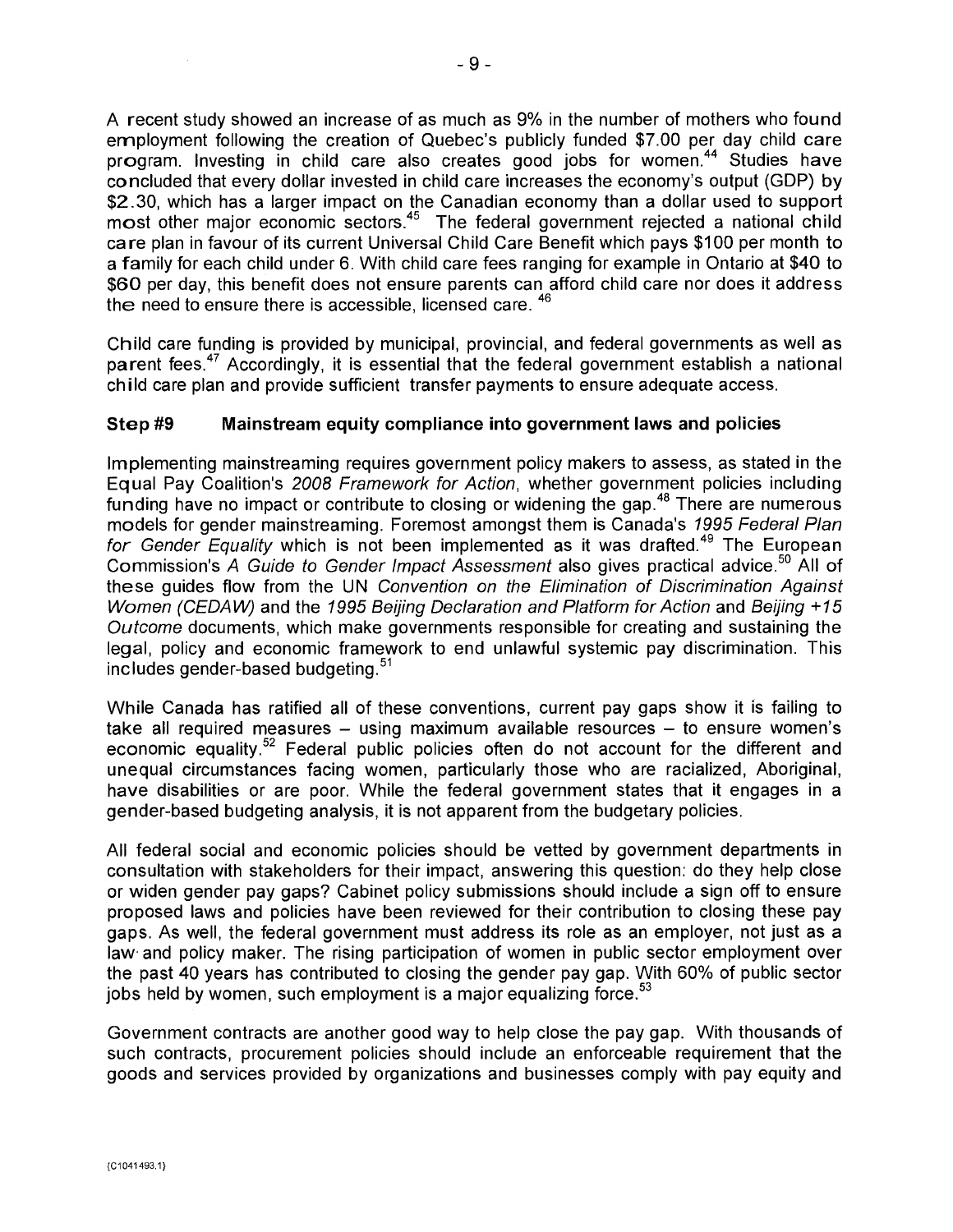A recent study showed an increase of as much as 9% in the number of mothers who found employment following the creation of Quebec's publicly funded \$7.00 per day child care program. Investing in child care also creates good jobs for women.<sup>44</sup> Studies have concluded that every dollar invested in child care increases the economy's output (GDP) by \$2.30, which has a larger impact on the Canadian economy than a dollar used to support most other major economic sectors.<sup>45</sup> The federal government rejected a national child care plan in favour of its current Universal Child Care Benefit which pays \$100 per month to a family for each child under 6. With child care fees ranging for example in Ontario at \$40 to \$60 per day, this benefit does not ensure parents can afford child care nor does it address the need to ensure there is accessible, licensed care, <sup>46</sup>

Child care funding is provided by municipal, provincial, and federal governments as well as parent fees.<sup>47</sup> Accordingly, it is essential that the federal government establish a national child care plan and provide sufficient transfer payments to ensure adequate access.

### **Step #9 Mainstream equity compliance into government laws and policies**

Implementing mainstreaming requires government policy makers to assess, as stated in the Equal Pay Coalition's 2008 Framework for Action, whether government policies including funding have no impact or contribute to closing or widening the gap.<sup>48</sup> There are numerous models for gender mainstreaming. Foremost amongst them is Canada's 1995 Federal Plan for Gender Equality which is not been implemented as it was drafted.<sup>49</sup> The European Commission's A Guide to Gender Impact Assessment also gives practical advice.<sup>50</sup> All of these guides flow from the UN Convention on the Elimination of Discrimination Against Women (CEDAW) and the 1995 Beijing Declaration and Platform for Action and Beijing +15 Outcome documents, which make governments responsible for creating and sustaining the legal, policy and economic framework to end unlawful systemic pay discrimination. This includes gender-based budgeting. <sup>51</sup>

While Canada has ratified all of these conventions, current pay gaps show it is failing to take all required measures — using maximum available resources — to ensure women's economic equality.<sup>52</sup> Federal public policies often do not account for the different and unequal circumstances facing women, particularly those who are racialized, Aboriginal, have disabilities or are poor. While the federal government states that it engages in a gender-based budgeting analysis, it is not apparent from the budgetary policies.

All federal social and economic policies should be vetted by government departments in consultation with stakeholders for their impact, answering this question: do they help close or widen gender pay gaps? Cabinet policy submissions should include a sign off to ensure proposed laws and policies have been reviewed for their contribution to closing these pay gaps. As well, the federal government must address its role as an employer, not just as a law. and policy maker. The rising participation of women in public sector employment over the past 40 years has contributed to closing the gender pay gap. With 60% of public sector jobs held by women, such employment is a major equalizing force.  $53$ 

Government contracts are another good way to help close the pay gap. With thousands of such contracts, procurement policies should include an enforceable requirement that the goods and services provided by organizations and businesses comply with pay equity and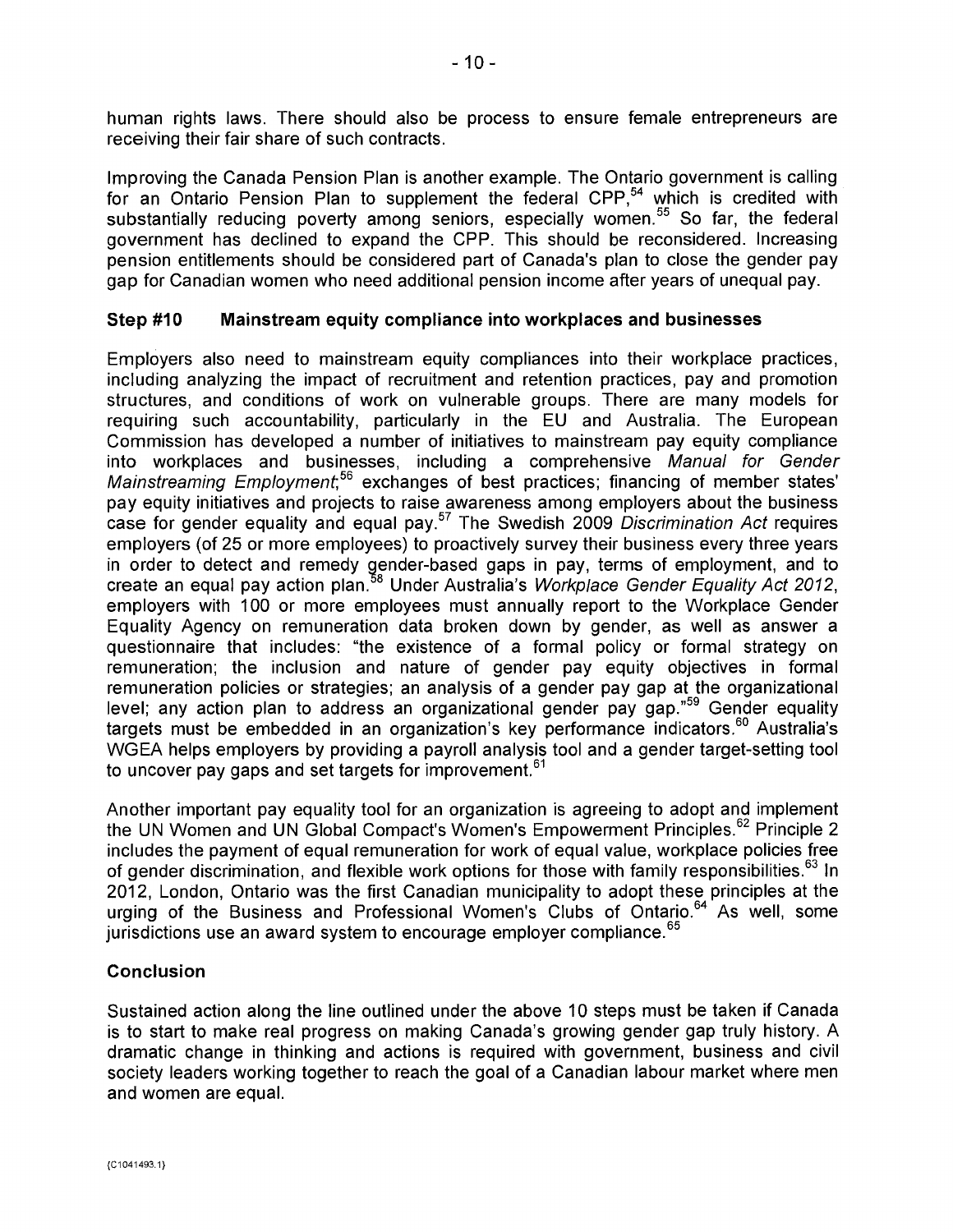human rights laws. There should also be process to ensure female entrepreneurs are receiving their fair share of such contracts.

Improving the Canada Pension Plan is another example. The Ontario government is calling for an Ontario Pension Plan to supplement the federal CPP, $54$  which is credited with substantially reducing poverty among seniors, especially women.<sup>55</sup> So far, the federal government has declined to expand the CPP. This should be reconsidered. Increasing pension entitlements should be considered part of Canada's plan to close the gender pay gap for Canadian women who need additional pension income after years of unequal pay.

#### **Step #10 Mainstream equity compliance into workplaces and businesses**

Employers also need to mainstream equity compliances into their workplace practices, including analyzing the impact of recruitment and retention practices, pay and promotion structures, and conditions of work on vulnerable groups. There are many models for requiring such accountability, particularly in the EU and Australia. The European Commission has developed a number of initiatives to mainstream pay equity compliance into workplaces and businesses, including a comprehensive Manual for Gender Mainstreaming Employment,<sup>56</sup> exchanges of best practices; financing of member states' pay equity initiatives and projects to raise awareness among employers about the business case for gender equality and equal pay.<sup>57</sup> The Swedish 2009 Discrimination Act requires employers (of 25 or more employees) to proactively survey their business every three years in order to detect and remedy gender-based gaps in pay, terms of employment, and to create an equal pay action plan.<sup>58</sup> Under Australia's Workplace Gender Equality Act 2012, employers with 100 or more employees must annually report to the Workplace Gender Equality Agency on remuneration data broken down by gender, as well as answer a questionnaire that includes: "the existence of a formal policy or formal strategy on remuneration; the inclusion and nature of gender pay equity objectives in formal remuneration policies or strategies; an analysis of a gender pay gap at the organizational level; any action plan to address an organizational gender pay gap." $59$  Gender equality targets must be embedded in an organization's key performance indicators.<sup>60</sup> Australia's WGEA helps employers by providing a payroll analysis tool and a gender target-setting tool to uncover pay gaps and set targets for improvement.<sup>61</sup>

Another important pay equality tool for an organization is agreeing to adopt and implement the UN Women and UN Global Compact's Women's Empowerment Principles.<sup>62</sup> Principle 2 includes the payment of equal remuneration for work of equal value, workplace policies free of gender discrimination, and flexible work options for those with family responsibilities.  $^{63}$  In 2012, London, Ontario was the first Canadian municipality to adopt these principles at the urging of the Business and Professional Women's Clubs of Ontario.<sup>64</sup> As well, some jurisdictions use an award system to encourage employer compliance.<sup>65</sup>

#### **Conclusion**

Sustained action along the line outlined under the above 10 steps must be taken if Canada is to start to make real progress on making Canada's growing gender gap truly history. A dramatic change in thinking and actions is required with government, business and civil society leaders working together to reach the goal of a Canadian labour market where men and women are equal.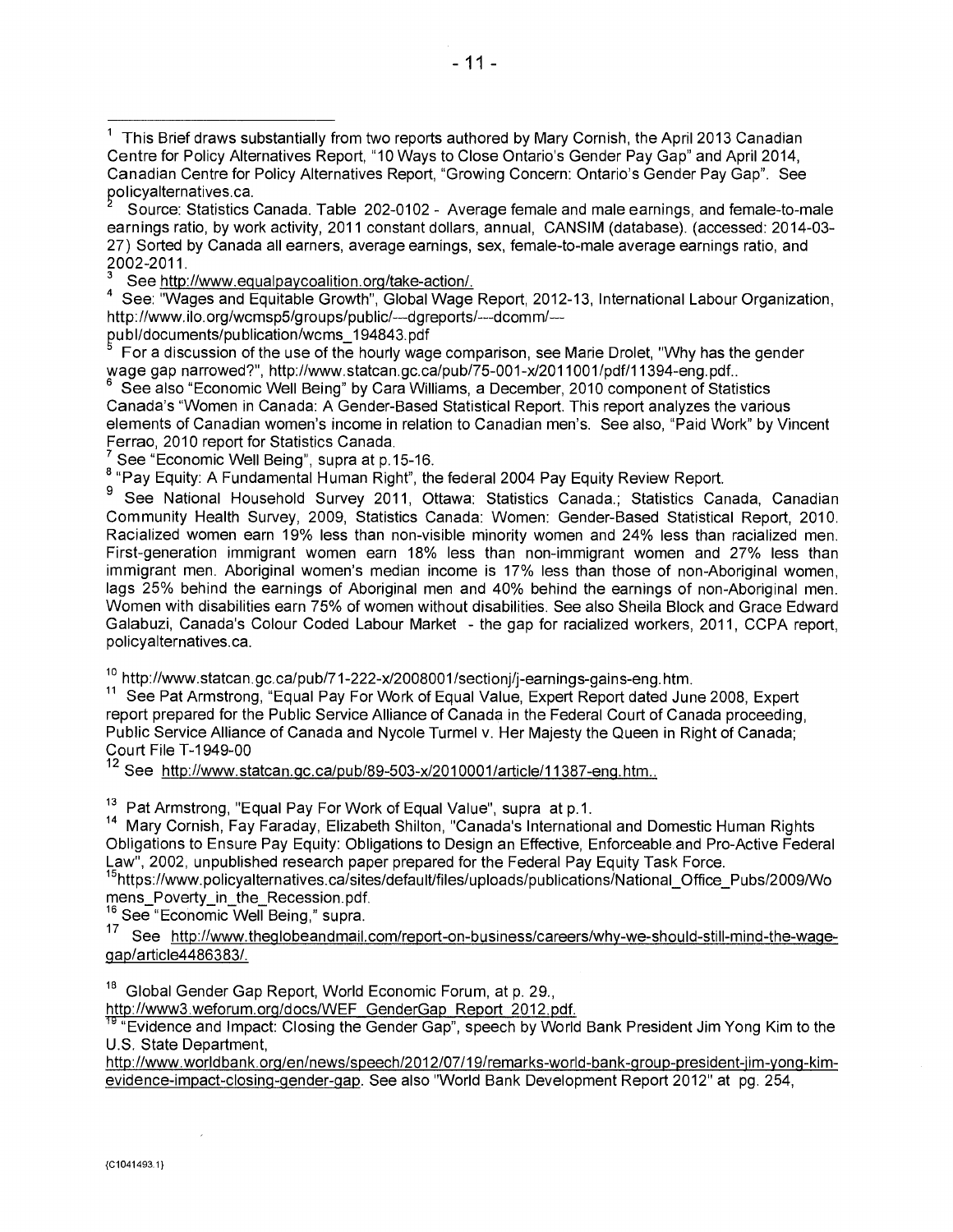Source: Statistics Canada. Table 202-0102 - Average female and male earnings, and female-to-male earnings ratio, by work activity, 2011 constant dollars, annual, CANSIM (database). (accessed: 2014-03- 27) Sorted by Canada all earners, average earnings, sex, female-to-male average earnings ratio, and 2002-2011.

See http://www.equalpaycoalition.org/take-action/.<br>See: "Wages and Equitable Growth", Global Wage Report, 2012-13, International Labour Organization, http://vvvvw. ilo.org/wcmsp5/groups/public/---dgreports/---dcomm/---

publ/documents/pu blication/wcms\_194843.pdf

For a discussion of the use of the hourly wage comparison, see Marie Drolet, "Why has the gender wage gap narrowed?", http://www.statcan.gc.ca/pub/75-001-x/2011001/pdf/11394-eng.pdf..

See also "Economic Well Being" by Cara Williams, a December, 2010 component of Statistics Canada's "Women in Canada: A Gender-Based Statistical Report. This report analyzes the various elements of Canadian women's income in relation to Canadian men's. See also, "Paid Work" by Vincent Ferrao, 2010 report for Statistics Canada.

See "Economic Well Being", supra at p.15-16.

<sup>8</sup> "Pay Equity: A Fundamental Human Right", the federal 2004 Pay Equity Review Report.

<sup>9</sup> See National Household Survey 2011, Ottawa: Statistics Canada.; Statistics Canada, Canadian Community Health Survey, 2009, Statistics Canada: Women: Gender-Based Statistical Report, 2010. Racialized women earn 19% less than non-visible minority women and 24% less than racialized men. First-generation immigrant women earn 18% less than non-immigrant women and 27% less than immigrant men. Aboriginal women's median income is 17% less than those of non-Aboriginal women, lags 25% behind the earnings of Aboriginal men and 40% behind the earnings of non-Aboriginal men. Women with disabilities earn 75% of women without disabilities. See also Sheila Block and Grace Edward Galabuzi, Canada's Colour Coded Labour Market - the gap for racialized workers, 2011, CCPA report, policyalternatives.ca.

<sup>10</sup> http://www.statcan.gc.ca/pub/71-222-x/2008001/sectionj/j-earnings-gains-eng.htm.

<sup>11</sup> See Pat Armstrong, "Equal Pay For Work of Equal Value, Expert Report dated June 2008, Expert report prepared for the Public Service Alliance of Canada in the Federal Court of Canada proceeding, Public Service Alliance of Canada and Nycole Turmel v. Her Majesty the Queen in Right of Canada; Court File T-1949-00

12 See http://www.statcan.gc.ca/pub/89-503-x/2010001/article/11387-eng.htm...

<sup>13</sup> Pat Armstrong, "Equal Pay For Work of Equal Value", supra at p.1.

<sup>14</sup> Mary Cornish, Fay Faraday, Elizabeth Shilton, "Canada's International and Domestic Human Rights Obligations to Ensure Pay Equity: Obligations to Design an Effective, Enforceable and Pro-Active Federal Law", 2002, unpublished research paper prepared for the Federal Pay Equity Task Force.

<sup>15</sup>https://www.policyalternatives.ca/sites/default/files/uploads/publications/National\_Office\_Pubs/2009/Wo mens\_Poverty\_in\_the\_Recession.pdf.

 $16$  See "Economic Well Being," supra.

See http://www.theglobeandmail.com/report-on-business/careers/why-we-should-still-mind-the-wagegap/article4486383/.

<sup>18</sup> Global Gender Gap Report, World Economic Forum, at p. 29.,

http://www3.weforum.org/docs/WEF GenderGap Report 2012. pdf.

<sup>19</sup> "Evidence and Impact: Closing the Gender Gap", speech by World Bank President Jim Yong Kim to the U.S. State Department,

http://wvvw.worldbank.orq/en/news/speech/2012/07/19/remarks-world-bank-group-president-jim-yong-kimevidence-impact-closing-gender-qap . See also "World Bank Development Report 2012" at pg. 254,

 $1$  This Brief draws substantially from two reports authored by Mary Cornish, the April 2013 Canadian Centre for Policy Alternatives Report, "10 Ways to Close Ontario's Gender Pay Gap" and April 2014, Canadian Centre for Policy Alternatives Report, "Growing Concern: Ontario's Gender Pay Gap". See policyalternatives.ca.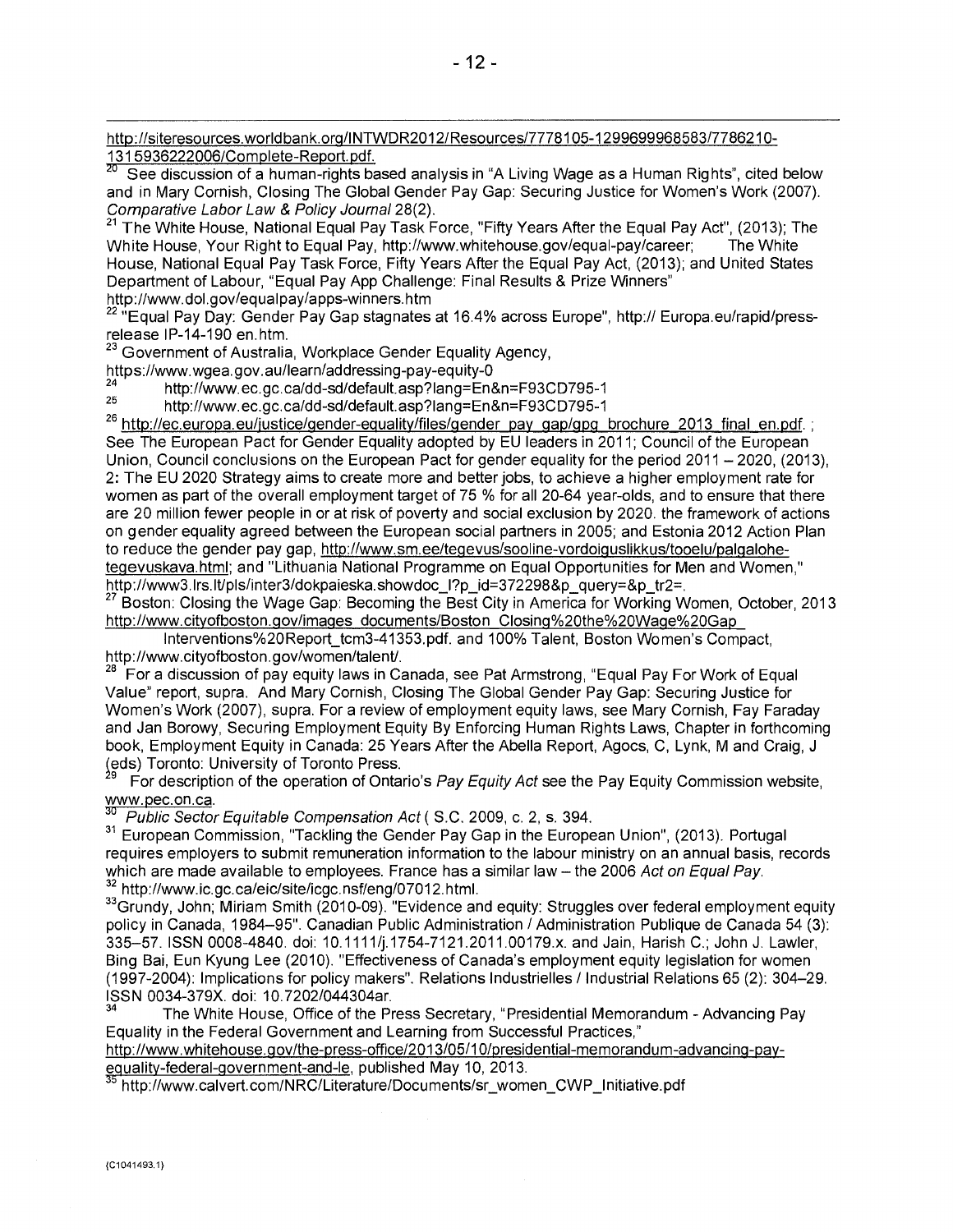http://siteresources.worldbank.org/INTWDR2012/Resources/7778105-1299699968583/7786210-<br>1315936222006/Complete-Report.pdf.<br><sup>20</sup> See discussion of a burner sixter in the t

See discussion of a human-rights based analysis in "A Living Wage as a Human Rights", cited below and in Mary Cornish, Closing The Global Gender Pay Gap: Securing Justice for Women's Work (2007). Comparative Labor Law & Policy Journal 28(2).<br><sup>21</sup> The White Have N.W. Comparative Labor Law & Policy Journal 28(2).

<sup>21</sup>The White House, National Equal Pay Task Force, "Fifty Years After the Equal Pay Act", (2013); The White House, Your Right to Equal Pay, http://www.whitehouse.gov/equal-pay/career; The White House, National Equal Pay Task Force, Fifty Years After the Equal Pay Act, (2013); and United States Department of Labour, "Equal Pay App Challenge: Final Results & Prize Winners" http://www.dol.gov/equalpay/apps-winners.htm

<sup>2</sup> "Equal Pay Day: Gender Pay Gap stagnates at 16.4% across Europe", http:// Europa.eu/rapid/pressrelease IP-14-190 en.htm.

<sup>23</sup> Government of Australia, Workplace Gender Equality Agency,

https://vvvvw.wgea.gov.au/learn/addressing-pay-equity-0

<sup>24</sup>http://www.ec.gc.ca/dd-sd/default.asp?lang=En&n=F93CD795-1<br><sup>25</sup>http://www.ec.gc.ca/dd-ad/default.asp?lang=En&n=F93CD795-4

<sup>25</sup>http://www.ec.gc.ca/dd-sd/default.asp?lang=En&n=F93CD795-1

<sup>26</sup> http://ec.europa.eu/justice/gender-equality/files/gender pay gap/gpg brochure 2013 final en.pdf.; See The European Pact for Gender Equality adopted by EU leaders in 2011; Council of the European Union, Council conclusions on the European Pact for gender equality for the period 2011 — 2020, (2013), 2: The EU 2020 Strategy aims to create more and better jobs, to achieve a higher employment rate for women as part of the overall employment target of 75 % for all 20-64 year-olds, and to ensure that there are 20 million fewer people in or at risk of poverty and social exclusion by 2020. the framework of actions on gender equality agreed between the European social partners in 2005; and Estonia 2012 Action Plan to reduce the gender pay gap, http://www.sm.ee/tegevus/sooline-vordoiguslikkus/tooelu/palgalohetegevuskava.html;and "Lithuania National Programme on Equal Opportunities for Men and Women," http://www3.lrs.lt/pls/inter3/dokpaieska.showdoc\_l?p\_id=372298&p\_query=&p\_tr2=.

<sup>27</sup>Boston: Closing the Wage Gap: Becoming the Best City in America for Working Women, October, 2013 http://www.cityofboston.gov/images\_documents/Boston\_Closing%20the%20Wage%20Gap

Interventions%20Report\_tcm3-41353.pdf. and 100% Talent, Boston Women's Compact, http://www.cityofboston.gov/women/talent/.

<sup>28</sup>For a discussion of pay equity laws in Canada, see Pat Armstrong, "Equal Pay For Work of Equal Value" report, supra. And Mary Cornish, Closing The Global Gender Pay Gap: Securing Justice for Women's Work (2007), supra. For a review of employment equity laws, see Mary Cornish, Fay Faraday and Jan Borowy, Securing Employment Equity By Enforcing Human Rights Laws, Chapter in forthcoming book, Employment Equity in Canada: 25 Years After the Abella Report, Agocs, C, Lynk, M and Craig, J eds) Toronto: University of Toronto Press.

For description of the operation of Ontario's Pay Equity Act see the Pay Equity Commission website, www.pec.on.ca.

Public Sector Equitable Compensation Act (S.C. 2009, c. 2, s. 394.

<sup>31</sup> European Commission, "Tackling the Gender Pay Gap in the European Union", (2013). Portugal requires employers to submit remuneration information to the labour ministry on an annual basis, records which are made available to employees. France has a similar law - the 2006 Act on Equal Pay. <sup>32</sup> http://www.ic.gc.ca/eic/site/icgc.nsf/eng/07012.html.

<sup>33</sup>Grundy, John; Miriam Smith (2010-09). "Evidence and equity: Struggles over federal employment equity policy in Canada, 1984-95". Canadian Public Administration / Administration Publique de Canada 54 (3): 335-57. ISSN 0008-4840. doi: 10.1111/j.1754-7121.2011.00179.x. and Jain, Harish C.; John J. Lawler, Bing Bai, Eun Kyung Lee (2010). "Effectiveness of Canada's employment equity legislation for women (1997-2004): Implications for policy makers". Relations Industrielles / Industrial Relations 65 (2): 304-29. ISSN 0034-379X. doi: 10.7202/044304ar.

The White House, Office of the Press Secretary, "Presidential Memorandum - Advancing Pay Equality in the Federal Government and Learning from Successful Practices,"

http://www.whitehouse.gov/the-press-office/2013/05/10/presidential-memorandum-advancing-payeduality-federal-dovernment-and-le, published May 10, 2013.

http://wvvw.calvert.com/NRC/Literature/Documents/sr\_women\_CWP\_Initiative.pdf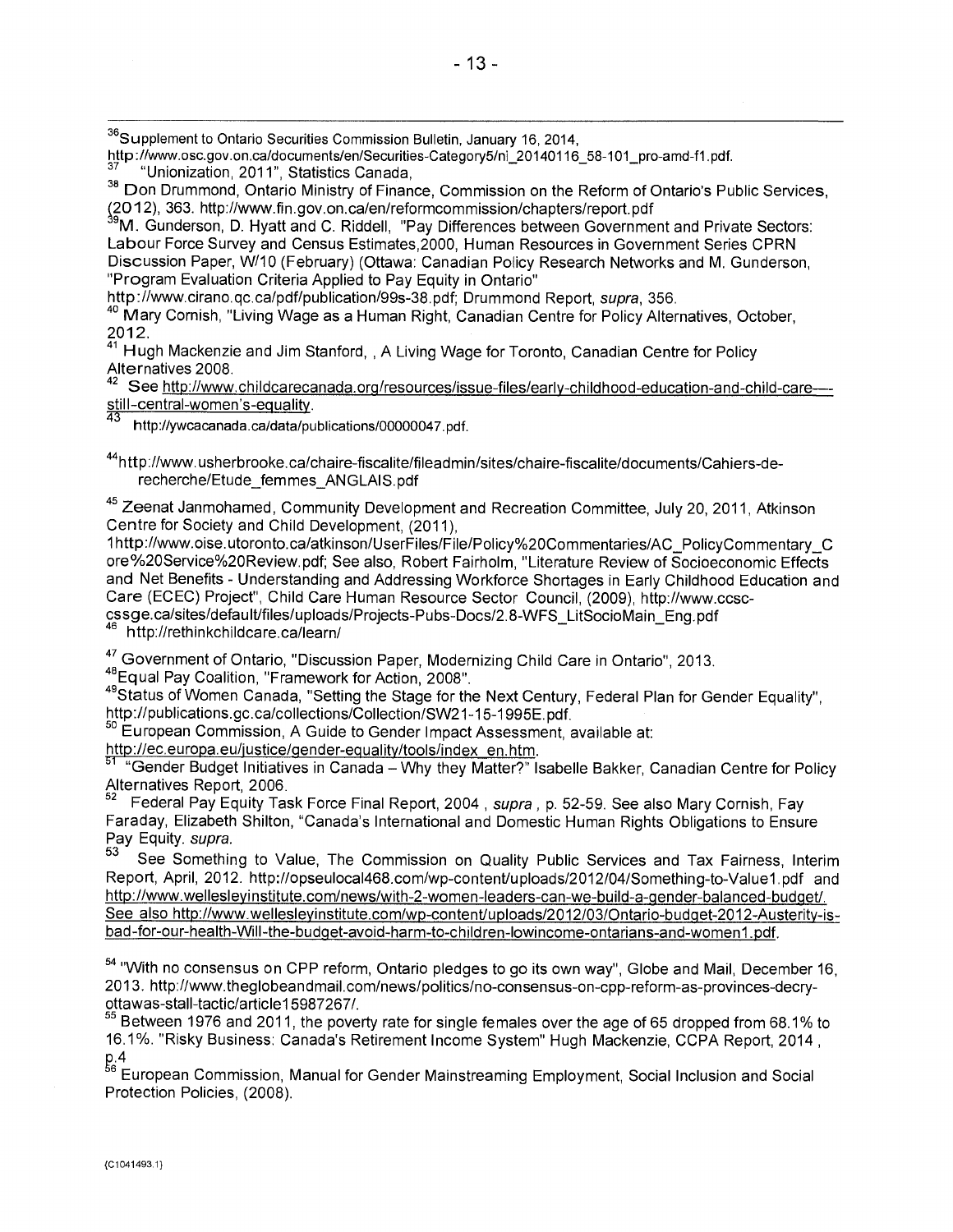<sup>36</sup>Supplement to Ontario Securities Commission Bulletin, January 16, 2014,

http://www.osc.gov.on.ca/documents/en/Securities-Category5/ni\_20140116\_58-101\_pro-amd-f1.pdf. <sup>37</sup>"Unionization, 2011", Statistics Canada,

<sup>38</sup> Don Drummond, Ontario Ministry of Finance, Commission on the Reform of Ontario's Public Services, (2012), 363. http://wvvw.fin.gov.on.ca/en/reformcommission/chapters/report.pdf

<sup>9</sup>M. Gunderson, D. Hyatt and C. Riddell, "Pay Differences between Government and Private Sectors: Labour Force Survey and Census Estimates,2000, Human Resources in Government Series CPRN Discussion Paper, W/10 (February) (Ottawa: Canadian Policy Research Networks and M. Gunderson, "Program Evaluation Criteria Applied to Pay Equity in Ontario"

http://www.cirano.qc.ca/pdf/publication/99s-38.pdf; Drummond Report, supra, 356.

<sup>40</sup> Mary Cornish, "Living Wage as a Human Right, Canadian Centre for Policy Alternatives, October, 2012.

<sup>41</sup> Hugh Mackenzie and Jim Stanford, , A Living Wage for Toronto, Canadian Centre for Policy Alternatives 2008.

42 See http://www.childcarecanada.org/resources/issue-files/early-childhood-education-and-child-care--still-central-women's-equality.

43 http://ywcacanada.ca/data/publications/00000047 . pdf.

44http://wvvw.usherbrooke.ca/chaire-fiscalite/fileadmin/sites/chaire-fiscalite/documents/Cahiers-derecherche/Etude\_femmes\_ANGLAIS.pdf

<sup>45</sup> Zeenat Janmohamed, Community Development and Recreation Committee, July 20, 2011, Atkinson Centre for Society and Child Development, (2011),

lhttp://vvvvw.oise.utoronto.ca/atkinson/UserFiles/File/Policy °/020Commentaries/AC\_PolicyCommentary\_C ore/020Service%20Review.pdf; See also, Robert Fairholm, "Literature Review of Socioeconomic Effects and Net Benefits - Understanding and Addressing Workforce Shortages in Early Childhood Education and Care (ECEC) Project", Child Care Human Resource Sector Council, (2009), http://www.ccsccssge.ca/sites/default/files/uploads/Projects-Pubs-Docs/2.8-WFS\_LitSocioMain\_Eng.pdf<br>46 http://rethinkebildoors.ca/lease/

<sup>46</sup>http://rethinkchildcare.ca/learn/

47 Government of Ontario, "Discussion Paper, Modernizing Child Care in Ontario", 2013. <sup>48</sup>Equal Pay Coalition, "Framework for Action, 2008".

<sup>49</sup>Status of Women Canada, "Setting the Stage for the Next Century, Federal Plan for Gender Equality", http://publications.gc.ca/collections/Collection/SW21-15-1995E.pdf.

<sup>50</sup> European Commission, A Guide to Gender Impact Assessment, available at:

http://ec.europa.eu/justice/gender-equality/tools/index\_en.htm.

bl "Gender Budget Initiatives in Canada — Why they Matter?" Isabelle Bakker, Canadian Centre for Policy Alternatives Report, 2006.

Federal Pay Equity Task Force Final Report, 2004, supra, p. 52-59. See also Mary Cornish, Fay Faraday, Elizabeth Shilton, "Canada's International and Domestic Human Rights Obligations to Ensure Pay Equity. supra.

See Something to Value, The Commission on Quality Public Services and Tax Fairness, Interim Report, April, 2012. http://opseulocal468.com/wp-content/uploads/2012/04/Something-to-Value1.pdf and<br>http://www.wellesleyinstitute.com/news/with-2-women-leaders-can-we-build-a-gender-balanced-budget/. See also http://www.wellesleyinstitute.com/wp-content/uploads/2012/03/Ontario-budget-2012-Austerity-isbad-for-our-health-Will-the-budget-avoid-harm-to-children-lowincome-ontarians-and-women1.pdf.

<sup>54</sup> "With no consensus on CPP reform, Ontario pledges to go its own way", Globe and Mail, December 16, 2013. http://www.theglobeandmail.com/news/politics/no-consensus-on-cpp-reform-as-provinces-decryottawas-stall-tactic/article15987267/.

66 Between 1976 and 2011, the poverty rate for single females over the age of 65 dropped from 68.1% to 16.1%. "Risky Business: Canada's Retirement Income System" Hugh Mackenzie, CCPA Report, 2014 , p.4

 $^{\rm{56}}$  European Commission, Manual for Gender Mainstreaming Employment, Social Inclusion and Socia Protection Policies, (2008).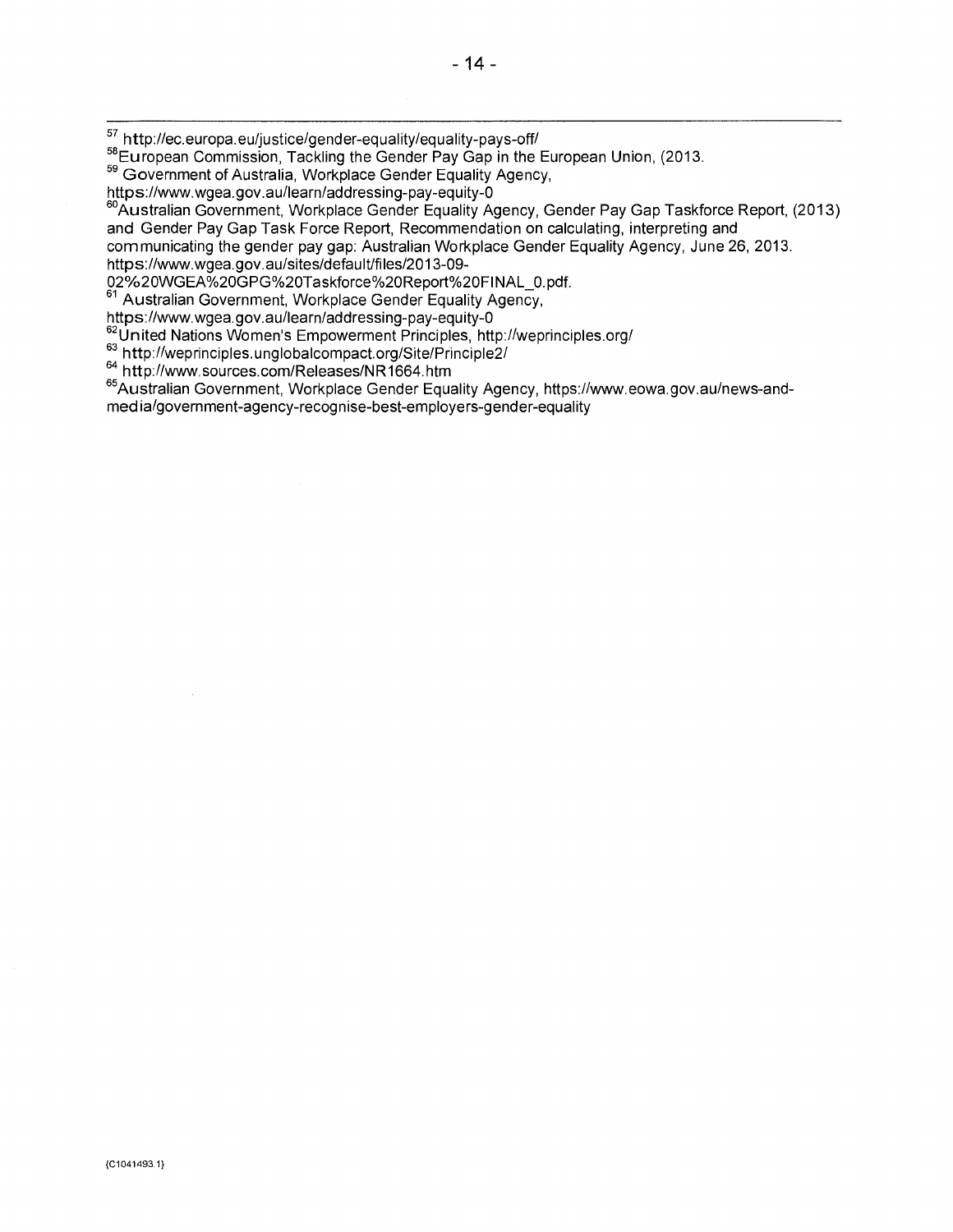58European Commission, Tackling the Gender Pay Gap in the European Union, (2013.

59 Government of Australia, Workplace Gender Equality Agency,

https://www.wgea.gov.au/learn/addressing-pay-equity-0

60Australian Government, Workplace Gender Equality Agency, Gender Pay Gap Taskforce Report, (2013) and Gender Pay Gap Task Force Report, Recommendation on calculating, interpreting and

communicating the gender pay gap: Australian Workplace Gender Equality Agency, June 26, 2013.

https://www.wgea.gov.au/sites/default/files/2013-09-

02%20WGEA%20GPG%20Taskforce%20Report%20FINAL\_0.pdf.

<sup>61</sup> Australian Government, Workplace Gender Equality Agency,

https://www.wgea.gov.au/learn/addressing-pay-equity-0

62United Nations Women's Empowerment Principles, http://weprinciples.org/

<sup>63</sup> http://weprinciples.unglobalcompact.org/Site/Principle2/

<sup>64</sup> http://www.sources.com/Releases/NR1664.htm

<sup>65</sup>Australian Government, Workplace Gender Equality Agency, https://vvww.eowa.gov.au/news-andmedia/government-agency-recognise-best-employers-gender-equality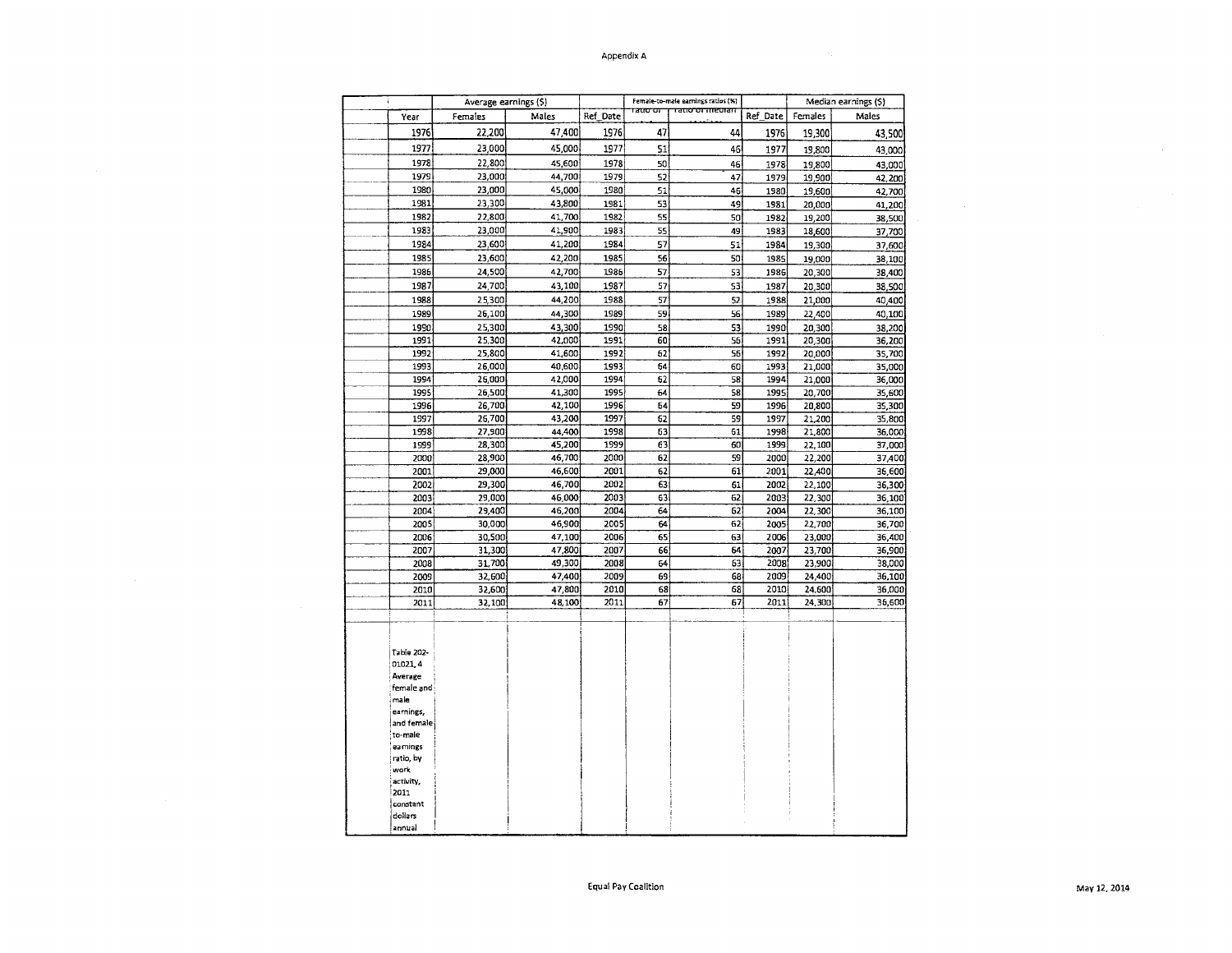#### Appendix A

| ÷                                                                                                                                                                                          | Average earnings (\$) |                  |              |          | Female-to-male earnings ratios (%) |              | Median earnings (\$) |                  |  |  |
|--------------------------------------------------------------------------------------------------------------------------------------------------------------------------------------------|-----------------------|------------------|--------------|----------|------------------------------------|--------------|----------------------|------------------|--|--|
| Year                                                                                                                                                                                       | Males<br>Females      |                  | Ref_Date     | ਾਰਧਾਰਾ   | ग् <del>तात का सार</del> काल       | Ref Date     | Females              | Males            |  |  |
| 1976                                                                                                                                                                                       | 22,200                | 47,400           | 1976         | 47       | 44                                 | 1976         | 19,300               | 43,500           |  |  |
| 1977                                                                                                                                                                                       | 23,000                | 45,000           | 1977         | 51       | 46                                 | 1977         | 19,800               | 43,000           |  |  |
| 1978                                                                                                                                                                                       | 22,800                | 45,600           | 1978         | 50       | 46                                 | 1978         | 19,800               | 43,000           |  |  |
| 1979                                                                                                                                                                                       | 23,000                | 44,700           | 1979         | 52       | 47                                 | 1979         | 19,900               | 42,200           |  |  |
| 1980                                                                                                                                                                                       | 23,000                | 45,000           | 1980         | 51       | 46                                 | 1980         | 19,600               | 42,700           |  |  |
| 1981                                                                                                                                                                                       | 23,300                | 43,800           | 1981         | 53       | 49                                 | 1981         | 20,000               | 41,200           |  |  |
| 1982                                                                                                                                                                                       | 22,800                | 41,700           | 1982         | 55       | 50                                 | 1982         | 19,200               | 38,500           |  |  |
| 1983                                                                                                                                                                                       | 23,000                | 41,900           | 1983         | 55       | 49                                 | 1983         | 18,600               | 37,700           |  |  |
| 1984                                                                                                                                                                                       | 23,600                | 41,200           | 1984         | 57       | 51                                 | 1984         | 19,300               | 37,600           |  |  |
| 1985                                                                                                                                                                                       | 23,600                | 42,200           | 1985         | 56       | 50                                 | 1985         | 19,000               | 38,100           |  |  |
| 1986                                                                                                                                                                                       | 24,500                | 42,700           | 1986         | 57       | 53                                 | 1986         | 20,300               | 38,400           |  |  |
| 1987                                                                                                                                                                                       | 24,700                | 43,100           | 1987         | 57       | 53                                 | 1987         | 20,300               | 38,500           |  |  |
| 1988                                                                                                                                                                                       | 25,300                | 44,200           | 1988         | 57       | 52                                 | 1988         | 21,000               | 40,400           |  |  |
| 1989                                                                                                                                                                                       | 26,100                | 44,300           | 1989         | 59       | 56                                 | 1989         | 22,400               | 40,100           |  |  |
| 1990                                                                                                                                                                                       | 25,300                | 43,300           | 1990         | 58       | 53                                 | 1990         | 20,300               | 38,200           |  |  |
| 1991                                                                                                                                                                                       | 25,300                | 42,000           | 1991         | 60       | 56                                 | 1991         | 20,300               | 36,200           |  |  |
| 1992                                                                                                                                                                                       | 25,800                | 41,600           | 1992         | 62       | 56                                 | 1992         | 20,000               | 35,700           |  |  |
| 1993                                                                                                                                                                                       | 26,000                | 40,600           | 1993         | 64       | 60                                 | 1993         | 21,000               | 35,000           |  |  |
| 1994                                                                                                                                                                                       | 26,000                | 42,000           | 1994         | 62       | 58                                 | 1994         | 21,000               | 36,000           |  |  |
| 1995                                                                                                                                                                                       | 26,500                | 41,300           | 1995         | 64       | 58                                 | 1995         | 20,700               | 35,600           |  |  |
| 1996                                                                                                                                                                                       | 26,700                | 42,100           | 1996         | 54       | 59                                 | 1996         | 20,800               | 35,300           |  |  |
| 1997                                                                                                                                                                                       | 26,700                | 43,200           | 1997         | 62       | 59                                 | 1997         | 21,200               | 35,800           |  |  |
| 1998                                                                                                                                                                                       | 27,900                | 44,400           | 1998         | 63       | 61                                 | 1998         | 21,800               | 36,000           |  |  |
| 1999                                                                                                                                                                                       | 28,300                | 45,200           | 1999         | 63       | 60                                 | 1999         | 22,100               | 37,000           |  |  |
| 2000                                                                                                                                                                                       | 28,900                | 46,700           | 2000         | 62       | 59                                 | 2000         | 22,200               | 37,400           |  |  |
| 2001                                                                                                                                                                                       | 29,000                | 46,600           | 2001         | 62       | 61                                 | 2001         | 22,400               | 36,600           |  |  |
| 2002                                                                                                                                                                                       | 29,300                | 46,700           | 2002         | 63       | 61                                 | 2002         | 22,100               | 36,300           |  |  |
| 2003                                                                                                                                                                                       | 29,000                | 46,000           | 2003         | 63       | 62                                 | 2003         | 22,300               | 36,100           |  |  |
| 2004                                                                                                                                                                                       | 29,400                | 46,200           | 2004         | 64       | 62                                 | 2004         | 22,300               | 36,100           |  |  |
| 2005                                                                                                                                                                                       | 30,000                | 46,900           | 2005         | 64       | 62                                 | 2005         | 22,700               | 36,700           |  |  |
| 2006                                                                                                                                                                                       | 30,500                | 47,100           | 2006         | 65       | 63                                 | 2006         | 23,000               | 36,400           |  |  |
| 2007                                                                                                                                                                                       | 31,300                | 47,800           | 2007         | 66       | 64                                 | 2007         | 23,700               | 36,900           |  |  |
| 2008                                                                                                                                                                                       | 31,700                | 49,300<br>47,400 | 2008<br>2009 | 64<br>69 | 63                                 | 2008         | 23,900               | 38,000           |  |  |
| 2009<br>2010                                                                                                                                                                               | 32,600<br>32,600      | 47,800           | 2010         | 68       | 68<br>68                           | 2009<br>2010 | 24,400<br>24,600     | 36,100<br>36,000 |  |  |
| 2011                                                                                                                                                                                       | 32,100                | 48,100           | 2011         | 67       | 67                                 | 2011         | 24,300               | 36,600           |  |  |
|                                                                                                                                                                                            |                       |                  |              |          |                                    |              |                      |                  |  |  |
| <b>Table 202-</b><br>01021,4<br>Average<br>female and<br>male<br>earnings,<br>and female<br>to-maie<br>ea mings<br>ratio, by<br>work<br>activity,<br>2011<br>constant<br>dollars<br>annual |                       |                  |              |          |                                    |              |                      |                  |  |  |

 $\sim$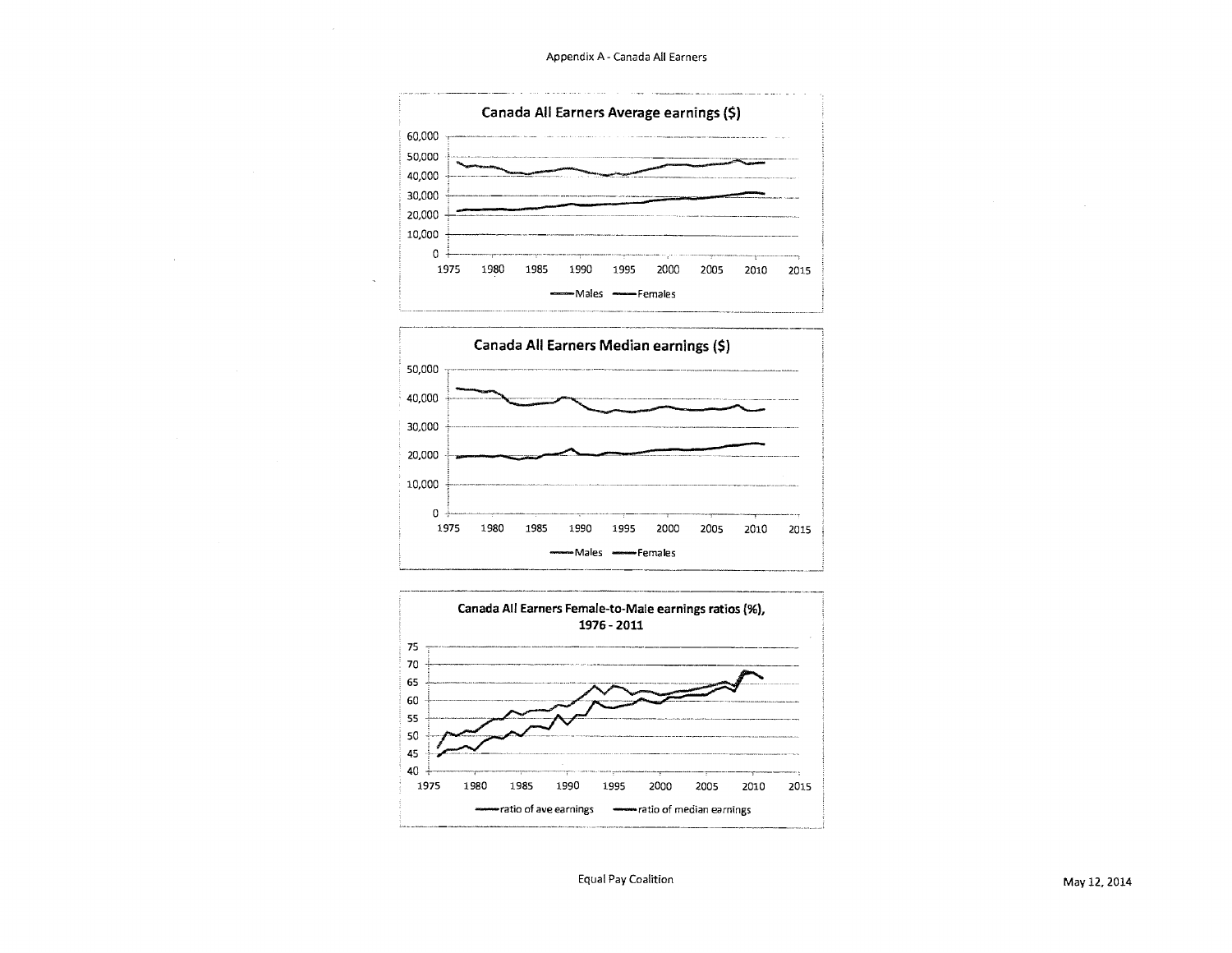Appendix A - Canada All Earners







Equal Pay Coalition May 12, 2014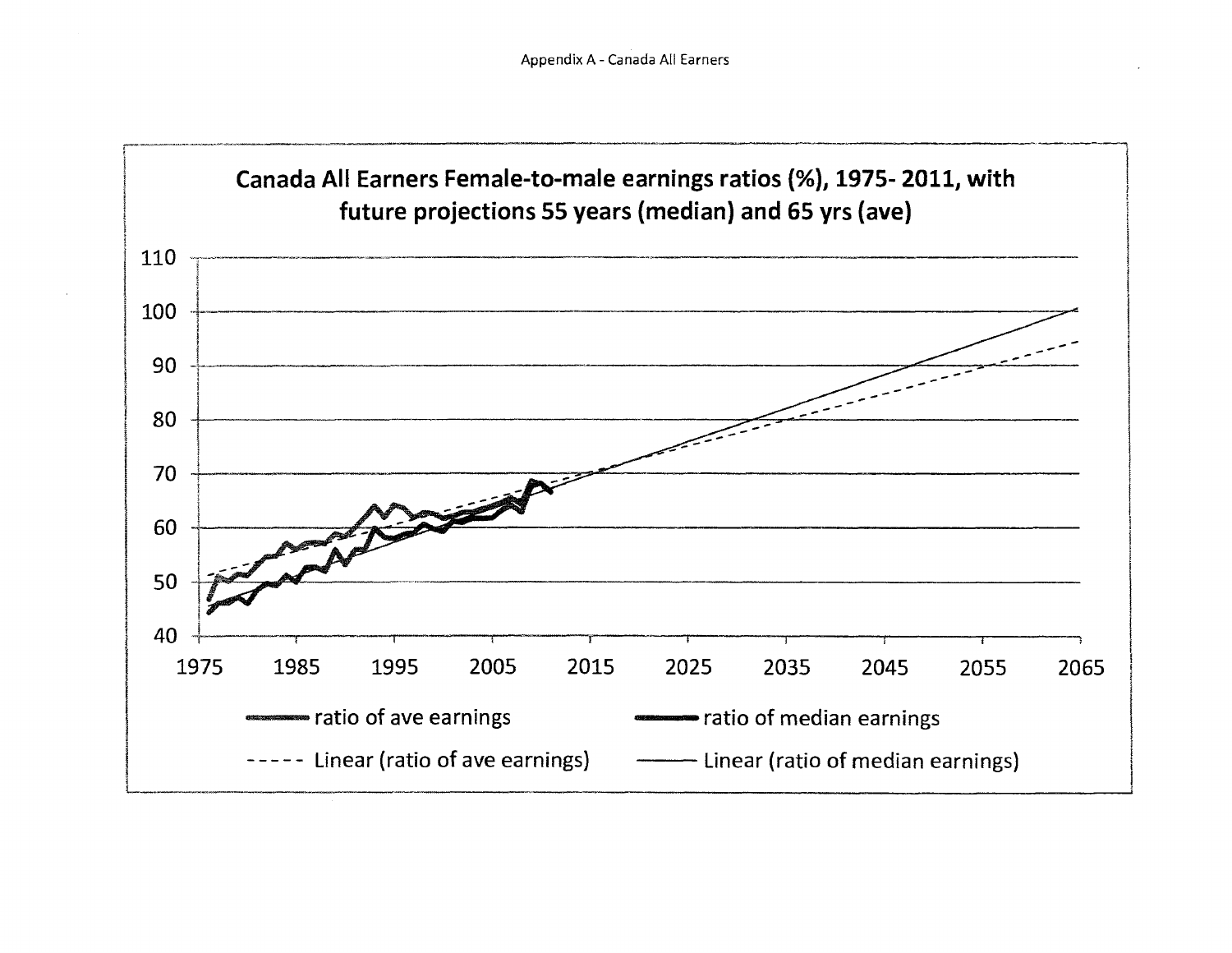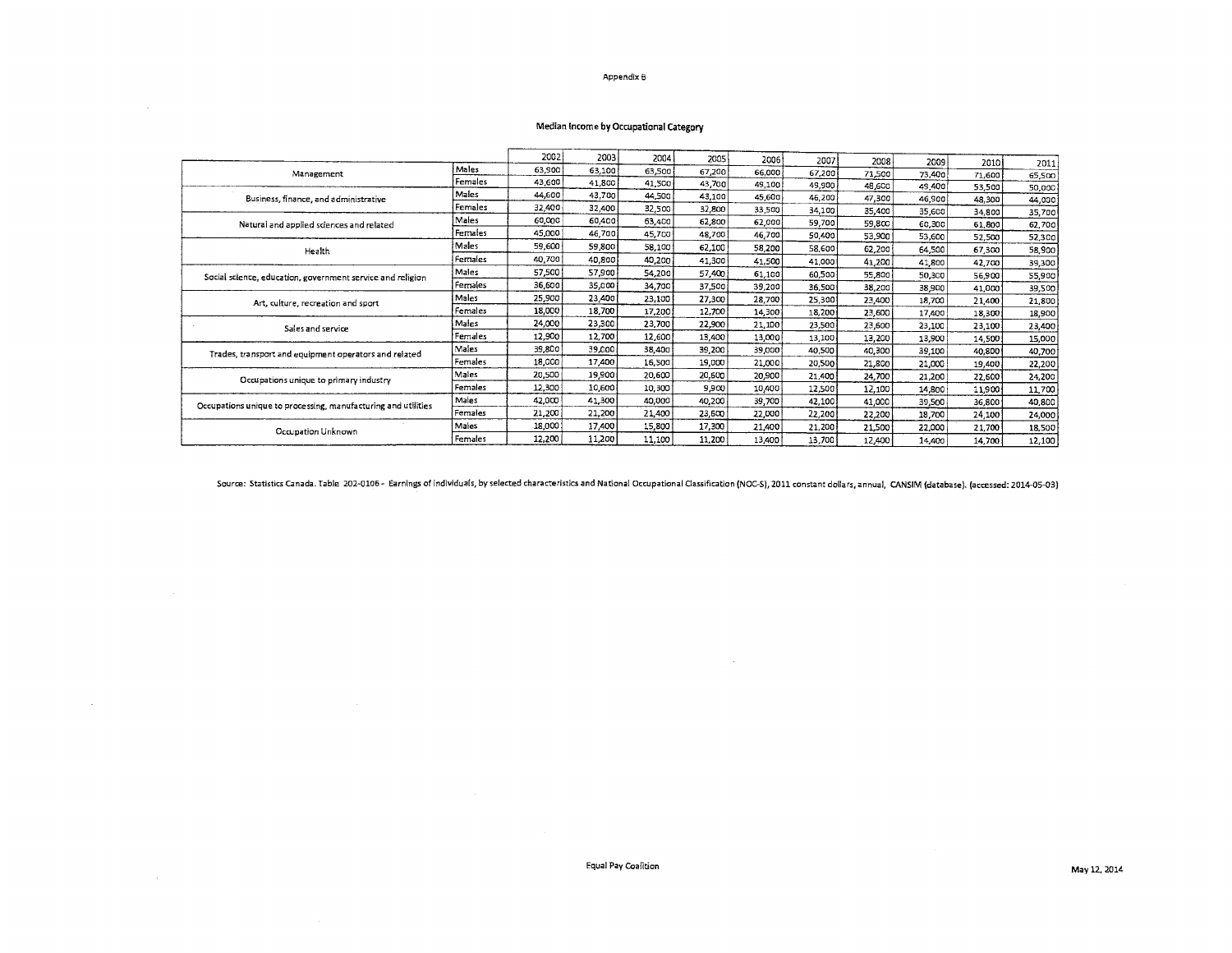#### Appendix B

#### Median Income by Occupational Category

 $\sim$ 

 $\sim$ 

 $\sim$ 

|                                                               |         | 2002   | 2003   | 2004   | 2005   | 2006   | 2007   | 2008   | 2009   | 2010   | 2011   |
|---------------------------------------------------------------|---------|--------|--------|--------|--------|--------|--------|--------|--------|--------|--------|
| Management                                                    | Males   | 63,900 | 63,100 | 63,500 | 67,200 | 66,000 | 67,200 | 71,500 | 73,400 | 71,600 | 65,500 |
|                                                               | Females | 43,600 | 41,800 | 41,500 | 43,700 | 49,100 | 49.900 | 48,600 | 49,400 | 53,500 | 50,000 |
| Business, finance, and administrative                         | Males   | 44,600 | 43,700 | 44,500 | 43,100 | 45,600 | 46,200 | 47,300 | 46,900 | 48,300 | 44,000 |
|                                                               | Females | 32,400 | 32,400 | 32,500 | 32,800 | 33,500 | 34,100 | 35,400 | 35,600 | 34,800 | 35,700 |
| Natural and applied sciences and related                      | Males   | 60,000 | 60,400 | 63,400 | 62,800 | 62,000 | 59,700 | 59.800 | 60,300 | 61,800 | 62,700 |
|                                                               | Females | 45,000 | 46,700 | 45,700 | 48,700 | 46,700 | 50,400 | 53,900 | 53,600 | 52,500 | 52,300 |
| Health                                                        | Males   | 59,600 | 59,800 | 58.100 | 62,100 | 58,200 | 58,600 | 62,200 | 64,500 | 67,300 | 58,900 |
|                                                               | Females | 40,700 | 40,800 | 40,200 | 41,300 | 41,500 | 41,000 | 41,200 | 41,800 | 42.700 | 39,300 |
| Social science, education, government service and religion    | Males   | 57,500 | 57,900 | 54,200 | 57,400 | 61,100 | 60,500 | 55,800 | 50,300 | 56,900 | 55,900 |
|                                                               | Females | 36,600 | 35,000 | 34.700 | 37,500 | 39,200 | 36,500 | 38,200 | 38,900 | 41.000 | 39,500 |
| Art, culture, recreation and sport                            | Males   | 25,900 | 23,400 | 23,100 | 27,300 | 28,700 | 25,300 | 23,400 | 18,700 | 21,400 | 21,800 |
|                                                               | Females | 18,000 | 18,700 | 17,200 | 12,700 | 14,300 | 18,200 | 23,600 | 17,400 | 18,300 | 18,900 |
| Sales and service                                             | Males   | 24,000 | 23,300 | 23,700 | 22,900 | 21,100 | 23,500 | 23,600 | 23,100 | 23,100 | 23,400 |
|                                                               | Females | 12,900 | 12,700 | 12,600 | 13,400 | 13,000 | 13,100 | 13,200 | 13,900 | 14.500 | 15,000 |
| Trades, transport and equipment operators and related         | Males   | 39,800 | 39,000 | 38,400 | 39,200 | 39,000 | 40,500 | 40,300 | 39,100 | 40,800 | 40,700 |
|                                                               | Females | 18,000 | 17,400 | 16,500 | 19,000 | 21,000 | 20,500 | 21,800 | 21,000 | 19,400 | 22,200 |
| Occupations unique to primary industry                        | Males   | 20,500 | 19,900 | 20,600 | 20,600 | 20,900 | 21,400 | 24,700 | 21,200 | 22,600 | 24,200 |
|                                                               | Females | 12,300 | 10,600 | 10,300 | 9,900  | 10,400 | 12,500 | 12,100 | 14.800 | 11,900 | 11,700 |
| Occupations unique to processing, manufacturing and utilities | Males   | 42,000 | 41,300 | 40,000 | 40.200 | 39,700 | 42.100 | 41,000 | 39,500 | 36,800 | 40,800 |
|                                                               | Females | 21,200 | 21,200 | 21,400 | 23,600 | 22,000 | 22,200 | 22,200 | 18,700 | 24,100 | 24,000 |
| Occupation Unknown                                            | Males   | 18,000 | 17,400 | 15,800 | 17.300 | 21,400 | 21,200 | 21,500 | 22,000 | 21,700 | 18,500 |
|                                                               | Females | 12,200 | 11,200 | 11,100 | 11,200 | 13,400 | 13,700 | 12,400 | 14,400 | 14,700 | 12,100 |

Source: Statistics Canada. Table 202-0106 - Earnings of individuals, by selected characteristics and National Occupational Classification (NOC-5), 2011 constant dollars, annual, CANSIM (database). (accessed: 2014-05-03)

 $\sim$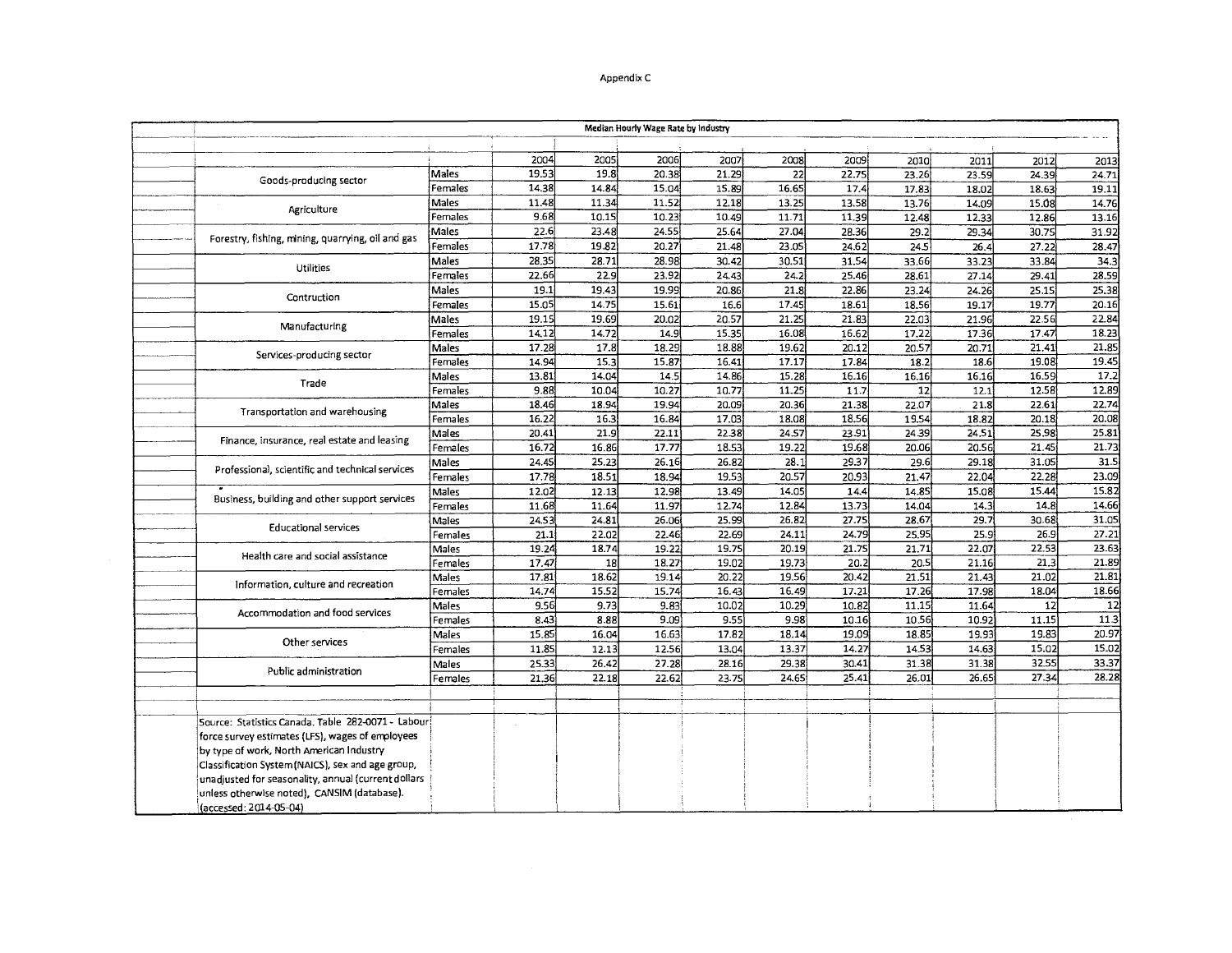#### Appendix C

|                                                     |         |       |       | Median Hourly Wage Rate by Industry |       |       |       |       |       |       |       |
|-----------------------------------------------------|---------|-------|-------|-------------------------------------|-------|-------|-------|-------|-------|-------|-------|
|                                                     |         |       |       |                                     |       |       |       |       |       |       |       |
|                                                     |         | 2004  | 2005  | 2006                                | 2007  | 2008  | 2009  | 2010  | 2011  | 2012  | 2013  |
| Goods-producing sector                              | Males   | 19.53 | 19.8  | 20.38                               | 21.29 | 22    | 22.75 | 23.26 | 23.59 | 24.39 | 24.71 |
|                                                     | Females | 14.38 | 14.84 | 15.04                               | 15.89 | 16.65 | 17.4  | 17.83 | 18.02 | 18.63 | 19.11 |
| Agriculture                                         | Males   | 11.48 | 11.34 | 11.52                               | 12.18 | 13.25 | 13.58 | 13.76 | 14.09 | 15.08 | 14.76 |
|                                                     | Females | 9.68  | 10.15 | 10.23                               | 10.49 | 11.71 | 11.39 | 12.48 | 12.33 | 12.86 | 13.16 |
| Forestry, fishing, mining, quarrying, oil and gas   | Males   | 22.6  | 23.48 | 24.55                               | 25.64 | 27.04 | 28.36 | 29.2  | 29.34 | 30.75 | 31.92 |
|                                                     | Females | 17.78 | 19.82 | 20.27                               | 21.48 | 23.05 | 24.62 | 24.5  | 26.4  | 27.22 | 28.47 |
| Utilities                                           | Males   | 28.35 | 28.71 | 28.98                               | 30.42 | 30.51 | 31.54 | 33.66 | 33.23 | 33.84 | 34.3  |
|                                                     | Females | 22.66 | 22.9  | 23.92                               | 24.43 | 24.2  | 25.46 | 28,61 | 27.14 | 29.41 | 28.59 |
| Contruction                                         | Males   | 19.1  | 19.43 | 19.99                               | 20.86 | 21.8  | 22.86 | 23.24 | 24.26 | 25.15 | 25.38 |
|                                                     | Females | 15.05 | 14.75 | 15.61                               | 16.6  | 17.45 | 18.61 | 18,56 | 19.17 | 19.77 | 20.16 |
| Manufacturing                                       | Males   | 19.15 | 19.69 | 20.02                               | 20.57 | 21.25 | 21.83 | 22.03 | 21.96 | 22.56 | 22.84 |
|                                                     | Females | 14.12 | 14.72 | 14.9                                | 15.35 | 16.08 | 16.62 | 17.22 | 17.36 | 17.47 | 18.23 |
| Services-producing sector                           | Males   | 17.28 | 17.8  | 18.29                               | 18.88 | 19.62 | 20.12 | 20.57 | 20.71 | 21.41 | 21.85 |
|                                                     | Females | 14.94 | 15.3  | 15.87                               | 16.41 | 17.17 | 17.84 | 18.2  | 18.6  | 19.08 | 19.45 |
| Trade                                               | Males   | 13.81 | 14.04 | 14.5                                | 14.86 | 15.28 | 16.16 | 16.16 | 16.16 | 16.59 | 17.2  |
|                                                     | Females | 9.88  | 10.04 | 10.27                               | 10.77 | 11.25 | 11.7  | 12    | 12.1  | 12.58 | 12.89 |
| Transportation and warehousing                      | Males   | 18.46 | 18.94 | 19.94                               | 20.09 | 20.36 | 21.38 | 22.07 | 21.8  | 22.61 | 22.74 |
|                                                     | Females | 16.22 | 16.3  | 16.84                               | 17.03 | 18.08 | 18.56 | 19.54 | 18.82 | 20.18 | 20.08 |
| Finance, insurance, real estate and leasing         | Males   | 20.41 | 21.9  | 22.11                               | 22.38 | 24.57 | 23.91 | 24.39 | 24.51 | 25.98 | 25.81 |
|                                                     | Females | 16.72 | 16.86 | 17.77                               | 18.53 | 19.22 | 19.68 | 20.06 | 20.56 | 21.45 | 21.73 |
| Professional, scientific and technical services     | Males   | 24.45 | 25.23 | 26.16                               | 26.82 | 28.1  | 29.37 | 29.6  | 29.18 | 31.05 | 31.5  |
|                                                     | Females | 17.78 | 18.51 | 18.94                               | 19.53 | 20.57 | 20.93 | 21.47 | 22.04 | 22.28 | 23.09 |
| Business, building and other support services       | Males   | 12.02 | 12.13 | 12.98                               | 13.49 | 14.05 | 14.4  | 14.85 | 15.08 | 15.44 | 15.82 |
|                                                     | Females | 11.68 | 11.64 | 11.97                               | 12.74 | 12.84 | 13.73 | 14.04 | 14.3  | 14.8  | 14.66 |
| <b>Educational services</b>                         | Males   | 24.53 | 24.81 | 26.06                               | 25.99 | 26.82 | 27.75 | 28.67 | 29.7  | 30.68 | 31.05 |
|                                                     | Females | 21.1  | 22.02 | 22.46                               | 22.69 | 24.11 | 24.79 | 25.95 | 25.9  | 26.9  | 27.21 |
| Health care and social assistance                   | Males   | 19.24 | 18.74 | 19.22                               | 19.75 | 20.19 | 21.75 | 21.71 | 22.07 | 22.53 | 23.63 |
|                                                     | Females | 17.47 | 18    | 18.27                               | 19.02 | 19.73 | 20.2  | 20.5  | 21.16 | 21.3  | 21.89 |
| Information, culture and recreation                 | Males   | 17.81 | 18.62 | 19.14                               | 20.22 | 19.56 | 20.42 | 21.51 | 21.43 | 21.02 | 21.81 |
|                                                     | Females | 14.74 | 15.52 | 15.74                               | 16.43 | 16.49 | 17.21 | 17.26 | 17.98 | 18.04 | 18.66 |
| Accommodation and food services                     | Males   | 9.56  | 9.73  | 9.83                                | 10.02 | 10.29 | 10.82 | 11.15 | 11.64 | 12    | 12    |
|                                                     | Females | 8.43  | 8.88  | 9.09                                | 9.55  | 9.98  | 10.16 | 10.56 | 10.92 | 11.15 | 11.3  |
| Other services                                      | Males   | 15.85 | 16.04 | 16.63                               | 17.82 | 18.14 | 19.09 | 18.85 | 19.93 | 19.83 | 20.97 |
|                                                     | Females | 11.85 | 12.13 | 12.56                               | 13.04 | 13.37 | 14.27 | 14.53 | 14.63 | 15.02 | 15.02 |
| Public administration                               | Males   | 25.33 | 26,42 | 27.28                               | 28.16 | 29.38 | 30.41 | 31.38 | 31.38 | 32.55 | 33.37 |
|                                                     | Females | 21.36 | 22.18 | 22.62                               | 23.75 | 24.65 | 25.41 | 26.01 | 26.65 | 27.34 | 28.28 |
|                                                     |         |       |       |                                     |       |       |       |       |       |       |       |
|                                                     |         |       |       |                                     |       |       |       |       |       |       |       |
| Source: Statistics Canada. Table 282-0071 - Labour  |         |       |       |                                     |       |       |       |       |       |       |       |
| force survey estimates (LFS), wages of employees    |         |       |       |                                     |       |       |       |       |       |       |       |
| by type of work, North American Industry            |         |       |       |                                     |       |       |       |       |       |       |       |
| Classification System (NAICS), sex and age group,   |         |       |       |                                     |       |       |       |       |       |       |       |
| unadjusted for seasonality, annual (current dollars |         |       |       |                                     |       |       |       |       |       |       |       |
| unless otherwise noted), CANSIM (database).         |         |       |       |                                     |       |       |       |       |       |       |       |
| (accessed: 2014-05-04)                              |         |       |       |                                     |       |       |       |       |       |       |       |